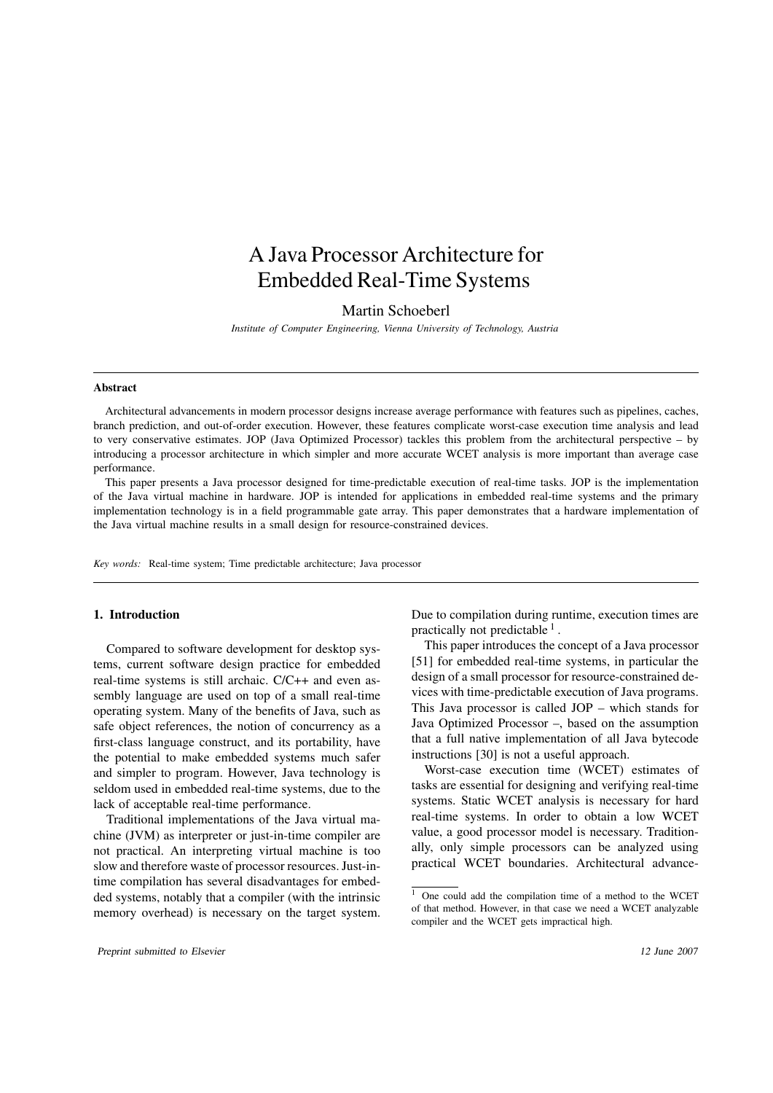# A Java Processor Architecture for Embedded Real-Time Systems

Martin Schoeberl

*Institute of Computer Engineering, Vienna University of Technology, Austria*

## Abstract

Architectural advancements in modern processor designs increase average performance with features such as pipelines, caches, branch prediction, and out-of-order execution. However, these features complicate worst-case execution time analysis and lead to very conservative estimates. JOP (Java Optimized Processor) tackles this problem from the architectural perspective – by introducing a processor architecture in which simpler and more accurate WCET analysis is more important than average case performance.

This paper presents a Java processor designed for time-predictable execution of real-time tasks. JOP is the implementation of the Java virtual machine in hardware. JOP is intended for applications in embedded real-time systems and the primary implementation technology is in a field programmable gate array. This paper demonstrates that a hardware implementation of the Java virtual machine results in a small design for resource-constrained devices.

*Key words:* Real-time system; Time predictable architecture; Java processor

#### 1. Introduction

Compared to software development for desktop systems, current software design practice for embedded real-time systems is still archaic. C/C++ and even assembly language are used on top of a small real-time operating system. Many of the benefits of Java, such as safe object references, the notion of concurrency as a first-class language construct, and its portability, have the potential to make embedded systems much safer and simpler to program. However, Java technology is seldom used in embedded real-time systems, due to the lack of acceptable real-time performance.

Traditional implementations of the Java virtual machine (JVM) as interpreter or just-in-time compiler are not practical. An interpreting virtual machine is too slow and therefore waste of processor resources. Just-intime compilation has several disadvantages for embedded systems, notably that a compiler (with the intrinsic memory overhead) is necessary on the target system. Due to compilation during runtime, execution times are practically not predictable  $<sup>1</sup>$ .</sup>

This paper introduces the concept of a Java processor [51] for embedded real-time systems, in particular the design of a small processor for resource-constrained devices with time-predictable execution of Java programs. This Java processor is called JOP – which stands for Java Optimized Processor –, based on the assumption that a full native implementation of all Java bytecode instructions [30] is not a useful approach.

Worst-case execution time (WCET) estimates of tasks are essential for designing and verifying real-time systems. Static WCET analysis is necessary for hard real-time systems. In order to obtain a low WCET value, a good processor model is necessary. Traditionally, only simple processors can be analyzed using practical WCET boundaries. Architectural advance-

<sup>1</sup> One could add the compilation time of a method to the WCET of that method. However, in that case we need a WCET analyzable compiler and the WCET gets impractical high.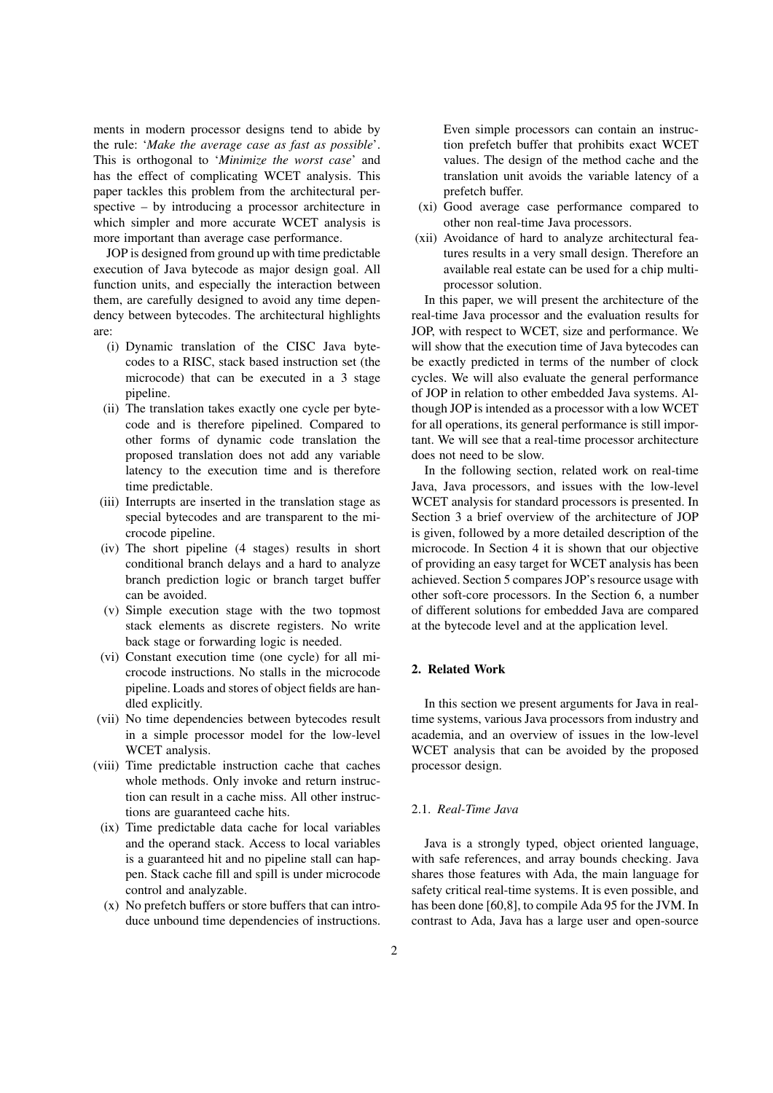ments in modern processor designs tend to abide by the rule: '*Make the average case as fast as possible*'. This is orthogonal to '*Minimize the worst case*' and has the effect of complicating WCET analysis. This paper tackles this problem from the architectural perspective – by introducing a processor architecture in which simpler and more accurate WCET analysis is more important than average case performance.

JOP is designed from ground up with time predictable execution of Java bytecode as major design goal. All function units, and especially the interaction between them, are carefully designed to avoid any time dependency between bytecodes. The architectural highlights are:

- (i) Dynamic translation of the CISC Java bytecodes to a RISC, stack based instruction set (the microcode) that can be executed in a 3 stage pipeline.
- (ii) The translation takes exactly one cycle per bytecode and is therefore pipelined. Compared to other forms of dynamic code translation the proposed translation does not add any variable latency to the execution time and is therefore time predictable.
- (iii) Interrupts are inserted in the translation stage as special bytecodes and are transparent to the microcode pipeline.
- (iv) The short pipeline (4 stages) results in short conditional branch delays and a hard to analyze branch prediction logic or branch target buffer can be avoided.
- (v) Simple execution stage with the two topmost stack elements as discrete registers. No write back stage or forwarding logic is needed.
- (vi) Constant execution time (one cycle) for all microcode instructions. No stalls in the microcode pipeline. Loads and stores of object fields are handled explicitly.
- (vii) No time dependencies between bytecodes result in a simple processor model for the low-level WCET analysis.
- (viii) Time predictable instruction cache that caches whole methods. Only invoke and return instruction can result in a cache miss. All other instructions are guaranteed cache hits.
- (ix) Time predictable data cache for local variables and the operand stack. Access to local variables is a guaranteed hit and no pipeline stall can happen. Stack cache fill and spill is under microcode control and analyzable.
- (x) No prefetch buffers or store buffers that can introduce unbound time dependencies of instructions.

Even simple processors can contain an instruction prefetch buffer that prohibits exact WCET values. The design of the method cache and the translation unit avoids the variable latency of a prefetch buffer.

- (xi) Good average case performance compared to other non real-time Java processors.
- (xii) Avoidance of hard to analyze architectural features results in a very small design. Therefore an available real estate can be used for a chip multiprocessor solution.

In this paper, we will present the architecture of the real-time Java processor and the evaluation results for JOP, with respect to WCET, size and performance. We will show that the execution time of Java bytecodes can be exactly predicted in terms of the number of clock cycles. We will also evaluate the general performance of JOP in relation to other embedded Java systems. Although JOP is intended as a processor with a low WCET for all operations, its general performance is still important. We will see that a real-time processor architecture does not need to be slow.

In the following section, related work on real-time Java, Java processors, and issues with the low-level WCET analysis for standard processors is presented. In Section 3 a brief overview of the architecture of JOP is given, followed by a more detailed description of the microcode. In Section 4 it is shown that our objective of providing an easy target for WCET analysis has been achieved. Section 5 compares JOP's resource usage with other soft-core processors. In the Section 6, a number of different solutions for embedded Java are compared at the bytecode level and at the application level.

# 2. Related Work

In this section we present arguments for Java in realtime systems, various Java processors from industry and academia, and an overview of issues in the low-level WCET analysis that can be avoided by the proposed processor design.

# 2.1. *Real-Time Java*

Java is a strongly typed, object oriented language, with safe references, and array bounds checking. Java shares those features with Ada, the main language for safety critical real-time systems. It is even possible, and has been done [60,8], to compile Ada 95 for the JVM. In contrast to Ada, Java has a large user and open-source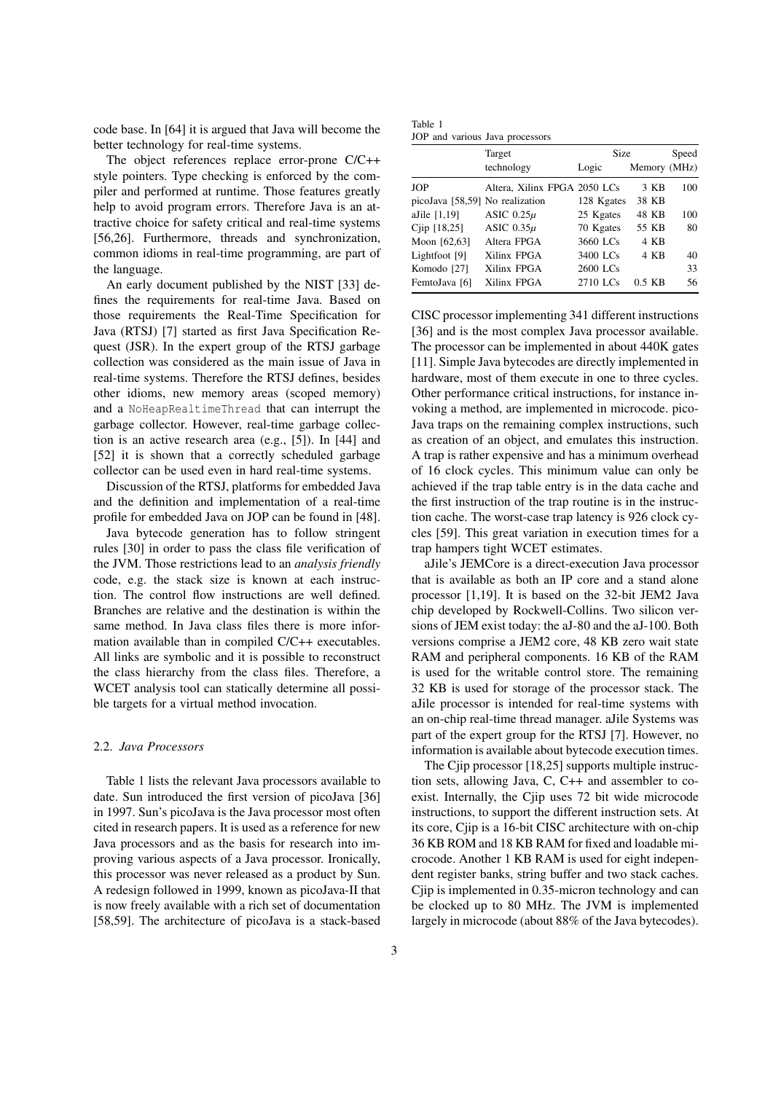code base. In [64] it is argued that Java will become the better technology for real-time systems.

The object references replace error-prone C/C++ style pointers. Type checking is enforced by the compiler and performed at runtime. Those features greatly help to avoid program errors. Therefore Java is an attractive choice for safety critical and real-time systems [56,26]. Furthermore, threads and synchronization, common idioms in real-time programming, are part of the language.

An early document published by the NIST [33] defines the requirements for real-time Java. Based on those requirements the Real-Time Specification for Java (RTSJ) [7] started as first Java Specification Request (JSR). In the expert group of the RTSJ garbage collection was considered as the main issue of Java in real-time systems. Therefore the RTSJ defines, besides other idioms, new memory areas (scoped memory) and a NoHeapRealtimeThread that can interrupt the garbage collector. However, real-time garbage collection is an active research area (e.g., [5]). In [44] and [52] it is shown that a correctly scheduled garbage collector can be used even in hard real-time systems.

Discussion of the RTSJ, platforms for embedded Java and the definition and implementation of a real-time profile for embedded Java on JOP can be found in [48].

Java bytecode generation has to follow stringent rules [30] in order to pass the class file verification of the JVM. Those restrictions lead to an *analysis friendly* code, e.g. the stack size is known at each instruction. The control flow instructions are well defined. Branches are relative and the destination is within the same method. In Java class files there is more information available than in compiled C/C++ executables. All links are symbolic and it is possible to reconstruct the class hierarchy from the class files. Therefore, a WCET analysis tool can statically determine all possible targets for a virtual method invocation.

## 2.2. *Java Processors*

Table 1 lists the relevant Java processors available to date. Sun introduced the first version of picoJava [36] in 1997. Sun's picoJava is the Java processor most often cited in research papers. It is used as a reference for new Java processors and as the basis for research into improving various aspects of a Java processor. Ironically, this processor was never released as a product by Sun. A redesign followed in 1999, known as picoJava-II that is now freely available with a rich set of documentation [58,59]. The architecture of picoJava is a stack-based

| Table 1 |  |                                 |
|---------|--|---------------------------------|
|         |  | JOP and various Java processors |

|                                 | Target                       | <b>Size</b> | Speed        |     |
|---------------------------------|------------------------------|-------------|--------------|-----|
|                                 | technology                   | Logic       | Memory (MHz) |     |
| <b>JOP</b>                      | Altera, Xilinx FPGA 2050 LCs |             | 3 KB         | 100 |
| picoJava [58,59] No realization |                              | 128 Kgates  | 38 KB        |     |
| aJile [1,19]                    | ASIC $0.25\mu$               | 25 Kgates   | 48 KB        | 100 |
| Cjip [18,25]                    | ASIC $0.35\mu$               | 70 Kgates   | 55 KB        | 80  |
| Moon [62,63]                    | Altera FPGA                  | 3660 LCs    | 4 KB         |     |
| Lightfoot [9]                   | Xilinx FPGA                  | 3400 LCs    | 4 KB         | 40  |
| Komodo [27]                     | Xilinx FPGA                  | 2600 LCs    |              | 33  |
| FemtoJava [6]                   | Xilinx FPGA                  | 2710 LCs    | $0.5$ KB     | 56  |

CISC processor implementing 341 different instructions [36] and is the most complex Java processor available. The processor can be implemented in about 440K gates [11]. Simple Java bytecodes are directly implemented in hardware, most of them execute in one to three cycles. Other performance critical instructions, for instance invoking a method, are implemented in microcode. pico-Java traps on the remaining complex instructions, such as creation of an object, and emulates this instruction. A trap is rather expensive and has a minimum overhead of 16 clock cycles. This minimum value can only be achieved if the trap table entry is in the data cache and the first instruction of the trap routine is in the instruction cache. The worst-case trap latency is 926 clock cycles [59]. This great variation in execution times for a trap hampers tight WCET estimates.

aJile's JEMCore is a direct-execution Java processor that is available as both an IP core and a stand alone processor [1,19]. It is based on the 32-bit JEM2 Java chip developed by Rockwell-Collins. Two silicon versions of JEM exist today: the aJ-80 and the aJ-100. Both versions comprise a JEM2 core, 48 KB zero wait state RAM and peripheral components. 16 KB of the RAM is used for the writable control store. The remaining 32 KB is used for storage of the processor stack. The aJile processor is intended for real-time systems with an on-chip real-time thread manager. aJile Systems was part of the expert group for the RTSJ [7]. However, no information is available about bytecode execution times.

The Cjip processor [18,25] supports multiple instruction sets, allowing Java, C, C++ and assembler to coexist. Internally, the Cjip uses 72 bit wide microcode instructions, to support the different instruction sets. At its core, Cjip is a 16-bit CISC architecture with on-chip 36 KB ROM and 18 KB RAM for fixed and loadable microcode. Another 1 KB RAM is used for eight independent register banks, string buffer and two stack caches. Cjip is implemented in 0.35-micron technology and can be clocked up to 80 MHz. The JVM is implemented largely in microcode (about 88% of the Java bytecodes).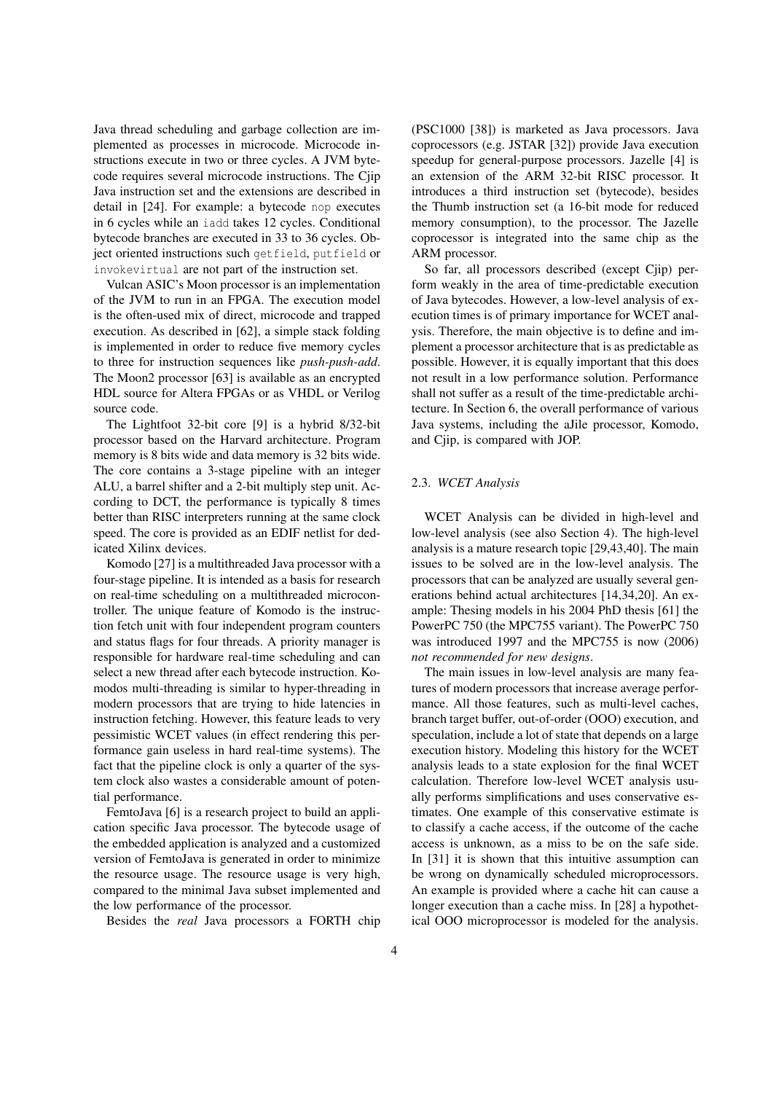Java thread scheduling and garbage collection are implemented as processes in microcode. Microcode instructions execute in two or three cycles. A JVM bytecode requires several microcode instructions. The Cjip Java instruction set and the extensions are described in detail in [24]. For example: a bytecode nop executes in 6 cycles while an iadd takes 12 cycles. Conditional bytecode branches are executed in 33 to 36 cycles. Object oriented instructions such getfield, putfield or invokevirtual are not part of the instruction set.

Vulcan ASIC's Moon processor is an implementation of the JVM to run in an FPGA. The execution model is the often-used mix of direct, microcode and trapped execution. As described in [62], a simple stack folding is implemented in order to reduce five memory cycles to three for instruction sequences like *push-push-add*. The Moon2 processor [63] is available as an encrypted HDL source for Altera FPGAs or as VHDL or Verilog source code.

The Lightfoot 32-bit core [9] is a hybrid 8/32-bit processor based on the Harvard architecture. Program memory is 8 bits wide and data memory is 32 bits wide. The core contains a 3-stage pipeline with an integer ALU, a barrel shifter and a 2-bit multiply step unit. According to DCT, the performance is typically 8 times better than RISC interpreters running at the same clock speed. The core is provided as an EDIF netlist for dedicated Xilinx devices.

Komodo [27] is a multithreaded Java processor with a four-stage pipeline. It is intended as a basis for research on real-time scheduling on a multithreaded microcontroller. The unique feature of Komodo is the instruction fetch unit with four independent program counters and status flags for four threads. A priority manager is responsible for hardware real-time scheduling and can select a new thread after each bytecode instruction. Komodos multi-threading is similar to hyper-threading in modern processors that are trying to hide latencies in instruction fetching. However, this feature leads to very pessimistic WCET values (in effect rendering this performance gain useless in hard real-time systems). The fact that the pipeline clock is only a quarter of the system clock also wastes a considerable amount of potential performance.

FemtoJava [6] is a research project to build an application specific Java processor. The bytecode usage of the embedded application is analyzed and a customized version of FemtoJava is generated in order to minimize the resource usage. The resource usage is very high, compared to the minimal Java subset implemented and the low performance of the processor.

Besides the *real* Java processors a FORTH chip

(PSC1000 [38]) is marketed as Java processors. Java coprocessors (e.g. JSTAR [32]) provide Java execution speedup for general-purpose processors. Jazelle [4] is an extension of the ARM 32-bit RISC processor. It introduces a third instruction set (bytecode), besides the Thumb instruction set (a 16-bit mode for reduced memory consumption), to the processor. The Jazelle coprocessor is integrated into the same chip as the ARM processor.

So far, all processors described (except Cjip) perform weakly in the area of time-predictable execution of Java bytecodes. However, a low-level analysis of execution times is of primary importance for WCET analysis. Therefore, the main objective is to define and implement a processor architecture that is as predictable as possible. However, it is equally important that this does not result in a low performance solution. Performance shall not suffer as a result of the time-predictable architecture. In Section 6, the overall performance of various Java systems, including the aJile processor, Komodo, and Cjip, is compared with JOP.

## 2.3. *WCET Analysis*

WCET Analysis can be divided in high-level and low-level analysis (see also Section 4). The high-level analysis is a mature research topic [29,43,40]. The main issues to be solved are in the low-level analysis. The processors that can be analyzed are usually several generations behind actual architectures [14,34,20]. An example: Thesing models in his 2004 PhD thesis [61] the PowerPC 750 (the MPC755 variant). The PowerPC 750 was introduced 1997 and the MPC755 is now (2006) *not recommended for new designs*.

The main issues in low-level analysis are many features of modern processors that increase average performance. All those features, such as multi-level caches, branch target buffer, out-of-order (OOO) execution, and speculation, include a lot of state that depends on a large execution history. Modeling this history for the WCET analysis leads to a state explosion for the final WCET calculation. Therefore low-level WCET analysis usually performs simplifications and uses conservative estimates. One example of this conservative estimate is to classify a cache access, if the outcome of the cache access is unknown, as a miss to be on the safe side. In [31] it is shown that this intuitive assumption can be wrong on dynamically scheduled microprocessors. An example is provided where a cache hit can cause a longer execution than a cache miss. In [28] a hypothetical OOO microprocessor is modeled for the analysis.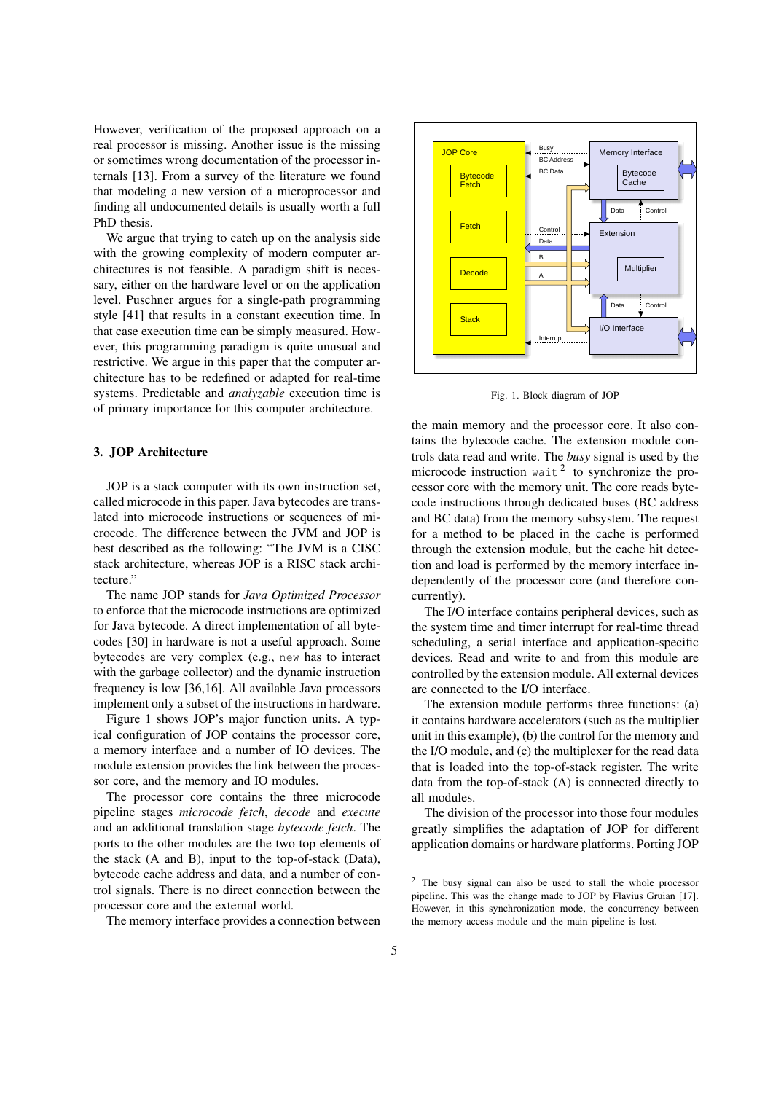However, verification of the proposed approach on a real processor is missing. Another issue is the missing or sometimes wrong documentation of the processor internals [13]. From a survey of the literature we found that modeling a new version of a microprocessor and finding all undocumented details is usually worth a full PhD thesis.

We argue that trying to catch up on the analysis side with the growing complexity of modern computer architectures is not feasible. A paradigm shift is necessary, either on the hardware level or on the application level. Puschner argues for a single-path programming style [41] that results in a constant execution time. In that case execution time can be simply measured. However, this programming paradigm is quite unusual and restrictive. We argue in this paper that the computer architecture has to be redefined or adapted for real-time systems. Predictable and *analyzable* execution time is of primary importance for this computer architecture.

# 3. JOP Architecture

JOP is a stack computer with its own instruction set, called microcode in this paper. Java bytecodes are translated into microcode instructions or sequences of microcode. The difference between the JVM and JOP is best described as the following: "The JVM is a CISC stack architecture, whereas JOP is a RISC stack architecture."

The name JOP stands for *Java Optimized Processor* to enforce that the microcode instructions are optimized for Java bytecode. A direct implementation of all bytecodes [30] in hardware is not a useful approach. Some bytecodes are very complex (e.g., new has to interact with the garbage collector) and the dynamic instruction frequency is low [36,16]. All available Java processors implement only a subset of the instructions in hardware.

Figure 1 shows JOP's major function units. A typical configuration of JOP contains the processor core, a memory interface and a number of IO devices. The module extension provides the link between the processor core, and the memory and IO modules.

The processor core contains the three microcode pipeline stages *microcode fetch*, *decode* and *execute* and an additional translation stage *bytecode fetch*. The ports to the other modules are the two top elements of the stack (A and B), input to the top-of-stack (Data), bytecode cache address and data, and a number of control signals. There is no direct connection between the processor core and the external world.

The memory interface provides a connection between



Fig. 1. Block diagram of JOP

the main memory and the processor core. It also contains the bytecode cache. The extension module controls data read and write. The *busy* signal is used by the microcode instruction wait<sup>2</sup> to synchronize the processor core with the memory unit. The core reads bytecode instructions through dedicated buses (BC address and BC data) from the memory subsystem. The request for a method to be placed in the cache is performed through the extension module, but the cache hit detection and load is performed by the memory interface independently of the processor core (and therefore concurrently).

The I/O interface contains peripheral devices, such as the system time and timer interrupt for real-time thread scheduling, a serial interface and application-specific devices. Read and write to and from this module are controlled by the extension module. All external devices are connected to the I/O interface.

The extension module performs three functions: (a) it contains hardware accelerators (such as the multiplier unit in this example), (b) the control for the memory and the I/O module, and (c) the multiplexer for the read data that is loaded into the top-of-stack register. The write data from the top-of-stack (A) is connected directly to all modules.

The division of the processor into those four modules greatly simplifies the adaptation of JOP for different application domains or hardware platforms. Porting JOP

<sup>2</sup> The busy signal can also be used to stall the whole processor pipeline. This was the change made to JOP by Flavius Gruian [17]. However, in this synchronization mode, the concurrency between the memory access module and the main pipeline is lost.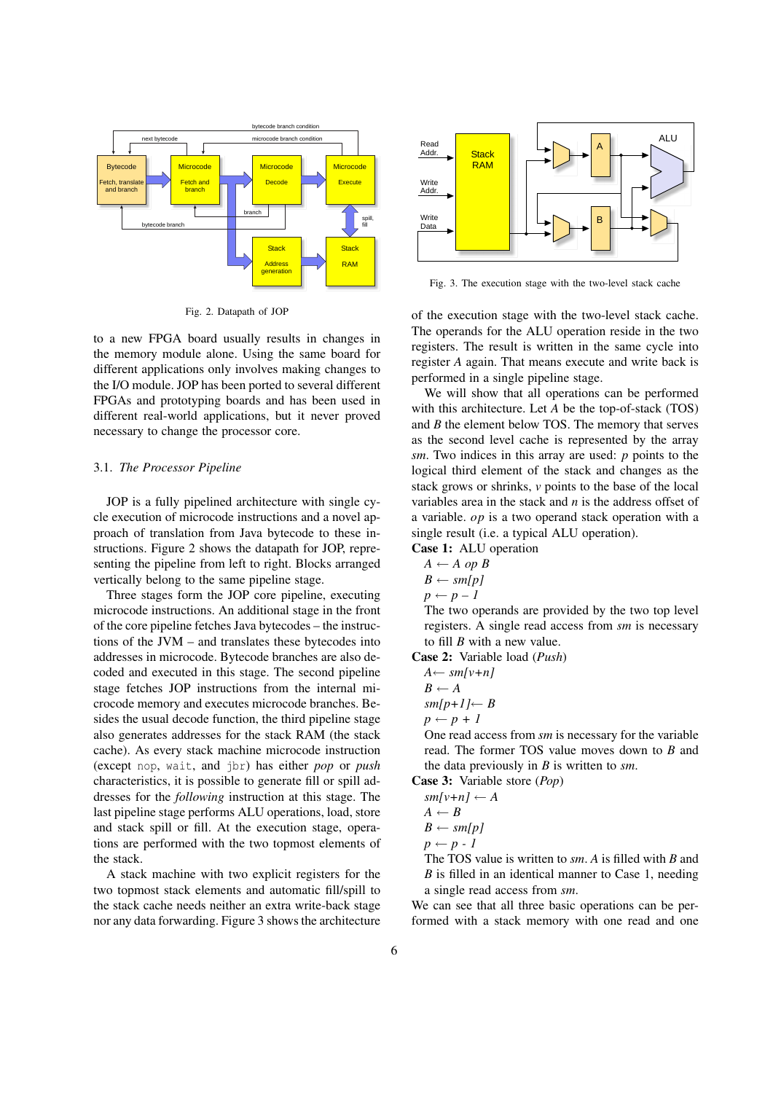

Fig. 2. Datapath of JOP

to a new FPGA board usually results in changes in the memory module alone. Using the same board for different applications only involves making changes to the I/O module. JOP has been ported to several different FPGAs and prototyping boards and has been used in different real-world applications, but it never proved necessary to change the processor core.

## 3.1. *The Processor Pipeline*

JOP is a fully pipelined architecture with single cycle execution of microcode instructions and a novel approach of translation from Java bytecode to these instructions. Figure 2 shows the datapath for JOP, representing the pipeline from left to right. Blocks arranged vertically belong to the same pipeline stage.

Three stages form the JOP core pipeline, executing microcode instructions. An additional stage in the front of the core pipeline fetches Java bytecodes – the instructions of the JVM – and translates these bytecodes into addresses in microcode. Bytecode branches are also decoded and executed in this stage. The second pipeline stage fetches JOP instructions from the internal microcode memory and executes microcode branches. Besides the usual decode function, the third pipeline stage also generates addresses for the stack RAM (the stack cache). As every stack machine microcode instruction (except nop, wait, and jbr) has either *pop* or *push* characteristics, it is possible to generate fill or spill addresses for the *following* instruction at this stage. The last pipeline stage performs ALU operations, load, store and stack spill or fill. At the execution stage, operations are performed with the two topmost elements of the stack.

A stack machine with two explicit registers for the two topmost stack elements and automatic fill/spill to the stack cache needs neither an extra write-back stage nor any data forwarding. Figure 3 shows the architecture



Fig. 3. The execution stage with the two-level stack cache

of the execution stage with the two-level stack cache. The operands for the ALU operation reside in the two registers. The result is written in the same cycle into register *A* again. That means execute and write back is performed in a single pipeline stage.

We will show that all operations can be performed with this architecture. Let *A* be the top-of-stack (TOS) and *B* the element below TOS. The memory that serves as the second level cache is represented by the array *sm*. Two indices in this array are used: *p* points to the logical third element of the stack and changes as the stack grows or shrinks, *v* points to the base of the local variables area in the stack and *n* is the address offset of a variable. *op* is a two operand stack operation with a single result (i.e. a typical ALU operation).

Case 1: ALU operation

$$
A \leftarrow A \text{ op } B B \leftarrow sm[p] p \leftarrow p - 1 The two ope
$$

 $p \leftarrow p - 1$ <br>The two operands are provided by the two top level registers. A single read access from *sm* is necessary to fill *B* with a new value.

Case 2: Variable load (*Push*)

```
A \leftarrow sm[v+n]
```
 $B \leftarrow A$ 

 $sm[p+1] \leftarrow B$ 

 $p \leftarrow p + 1$ 

One read access from *sm* is necessary for the variable read. The former TOS value moves down to *B* and the data previously in *B* is written to *sm*.

Case 3: Variable store (*Pop*)

$$
sm[v+n] \leftarrow A
$$

$$
A \leftarrow B
$$

$$
B \leftarrow sm[p]
$$

 $p \leftarrow p - 1$ 

The TOS value is written to *sm*. *A* is filled with *B* and *B* is filled in an identical manner to Case 1, needing a single read access from *sm*.

We can see that all three basic operations can be performed with a stack memory with one read and one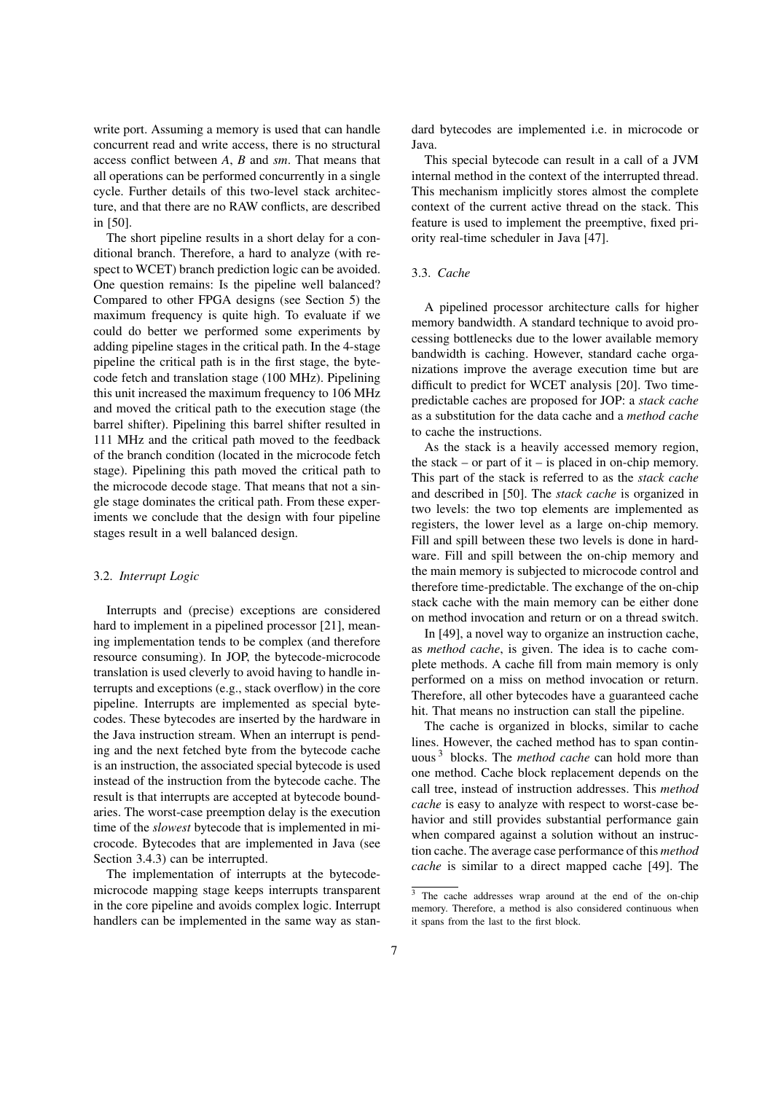write port. Assuming a memory is used that can handle concurrent read and write access, there is no structural access conflict between *A*, *B* and *sm*. That means that all operations can be performed concurrently in a single cycle. Further details of this two-level stack architecture, and that there are no RAW conflicts, are described in [50].

The short pipeline results in a short delay for a conditional branch. Therefore, a hard to analyze (with respect to WCET) branch prediction logic can be avoided. One question remains: Is the pipeline well balanced? Compared to other FPGA designs (see Section 5) the maximum frequency is quite high. To evaluate if we could do better we performed some experiments by adding pipeline stages in the critical path. In the 4-stage pipeline the critical path is in the first stage, the bytecode fetch and translation stage (100 MHz). Pipelining this unit increased the maximum frequency to 106 MHz and moved the critical path to the execution stage (the barrel shifter). Pipelining this barrel shifter resulted in 111 MHz and the critical path moved to the feedback of the branch condition (located in the microcode fetch stage). Pipelining this path moved the critical path to the microcode decode stage. That means that not a single stage dominates the critical path. From these experiments we conclude that the design with four pipeline stages result in a well balanced design.

## 3.2. *Interrupt Logic*

Interrupts and (precise) exceptions are considered hard to implement in a pipelined processor [21], meaning implementation tends to be complex (and therefore resource consuming). In JOP, the bytecode-microcode translation is used cleverly to avoid having to handle interrupts and exceptions (e.g., stack overflow) in the core pipeline. Interrupts are implemented as special bytecodes. These bytecodes are inserted by the hardware in the Java instruction stream. When an interrupt is pending and the next fetched byte from the bytecode cache is an instruction, the associated special bytecode is used instead of the instruction from the bytecode cache. The result is that interrupts are accepted at bytecode boundaries. The worst-case preemption delay is the execution time of the *slowest* bytecode that is implemented in microcode. Bytecodes that are implemented in Java (see Section 3.4.3) can be interrupted.

The implementation of interrupts at the bytecodemicrocode mapping stage keeps interrupts transparent in the core pipeline and avoids complex logic. Interrupt handlers can be implemented in the same way as standard bytecodes are implemented i.e. in microcode or Java.

This special bytecode can result in a call of a JVM internal method in the context of the interrupted thread. This mechanism implicitly stores almost the complete context of the current active thread on the stack. This feature is used to implement the preemptive, fixed priority real-time scheduler in Java [47].

## 3.3. *Cache*

A pipelined processor architecture calls for higher memory bandwidth. A standard technique to avoid processing bottlenecks due to the lower available memory bandwidth is caching. However, standard cache organizations improve the average execution time but are difficult to predict for WCET analysis [20]. Two timepredictable caches are proposed for JOP: a *stack cache* as a substitution for the data cache and a *method cache* to cache the instructions.

As the stack is a heavily accessed memory region, the stack – or part of it – is placed in on-chip memory. This part of the stack is referred to as the *stack cache* and described in [50]. The *stack cache* is organized in two levels: the two top elements are implemented as registers, the lower level as a large on-chip memory. Fill and spill between these two levels is done in hardware. Fill and spill between the on-chip memory and the main memory is subjected to microcode control and therefore time-predictable. The exchange of the on-chip stack cache with the main memory can be either done on method invocation and return or on a thread switch.

In [49], a novel way to organize an instruction cache, as *method cache*, is given. The idea is to cache complete methods. A cache fill from main memory is only performed on a miss on method invocation or return. Therefore, all other bytecodes have a guaranteed cache hit. That means no instruction can stall the pipeline.

The cache is organized in blocks, similar to cache lines. However, the cached method has to span continuous <sup>3</sup> blocks. The *method cache* can hold more than one method. Cache block replacement depends on the call tree, instead of instruction addresses. This *method cache* is easy to analyze with respect to worst-case behavior and still provides substantial performance gain when compared against a solution without an instruction cache. The average case performance of this *method cache* is similar to a direct mapped cache [49]. The

 $\overline{3}$  The cache addresses wrap around at the end of the on-chip memory. Therefore, a method is also considered continuous when it spans from the last to the first block.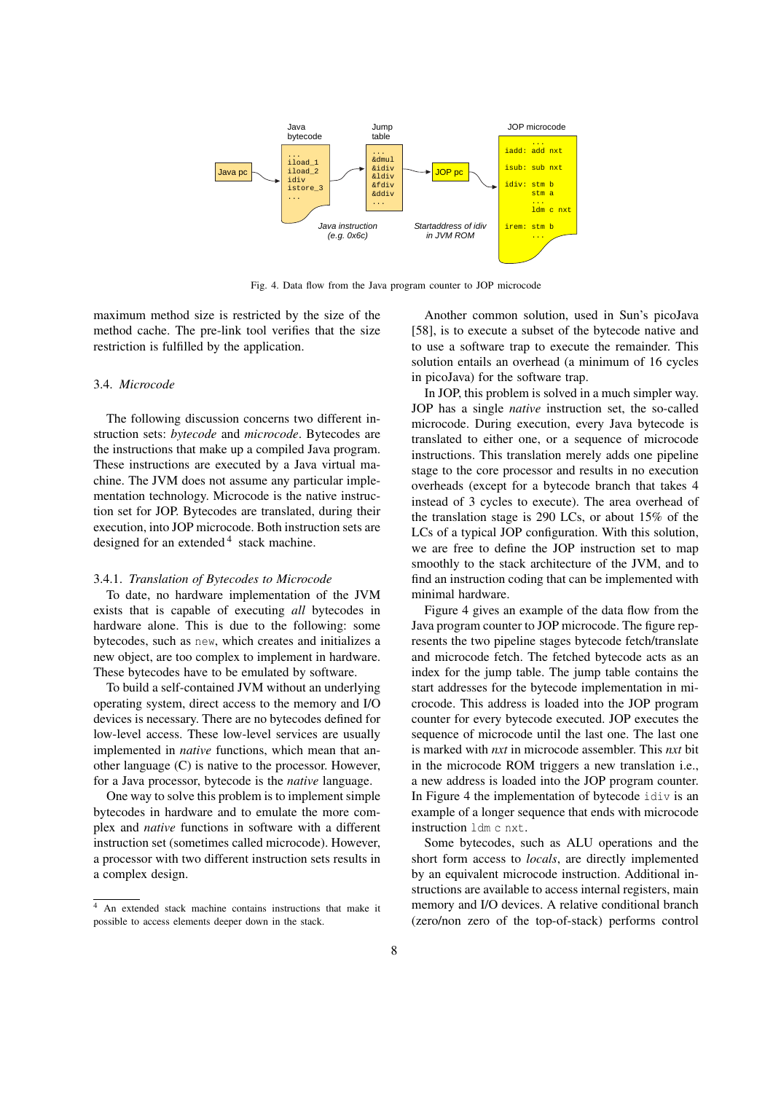

Fig. 4. Data flow from the Java program counter to JOP microcode

maximum method size is restricted by the size of the method cache. The pre-link tool verifies that the size restriction is fulfilled by the application.

# 3.4. *Microcode*

The following discussion concerns two different instruction sets: *bytecode* and *microcode*. Bytecodes are the instructions that make up a compiled Java program. These instructions are executed by a Java virtual machine. The JVM does not assume any particular implementation technology. Microcode is the native instruction set for JOP. Bytecodes are translated, during their execution, into JOP microcode. Both instruction sets are designed for an extended  $4$  stack machine.

#### 3.4.1. *Translation of Bytecodes to Microcode*

To date, no hardware implementation of the JVM exists that is capable of executing *all* bytecodes in hardware alone. This is due to the following: some bytecodes, such as new, which creates and initializes a new object, are too complex to implement in hardware. These bytecodes have to be emulated by software.

To build a self-contained JVM without an underlying operating system, direct access to the memory and I/O devices is necessary. There are no bytecodes defined for low-level access. These low-level services are usually implemented in *native* functions, which mean that another language (C) is native to the processor. However, for a Java processor, bytecode is the *native* language.

One way to solve this problem is to implement simple bytecodes in hardware and to emulate the more complex and *native* functions in software with a different instruction set (sometimes called microcode). However, a processor with two different instruction sets results in a complex design.

Another common solution, used in Sun's picoJava [58], is to execute a subset of the bytecode native and to use a software trap to execute the remainder. This solution entails an overhead (a minimum of 16 cycles in picoJava) for the software trap.

In JOP, this problem is solved in a much simpler way. JOP has a single *native* instruction set, the so-called microcode. During execution, every Java bytecode is translated to either one, or a sequence of microcode instructions. This translation merely adds one pipeline stage to the core processor and results in no execution overheads (except for a bytecode branch that takes 4 instead of 3 cycles to execute). The area overhead of the translation stage is 290 LCs, or about 15% of the LCs of a typical JOP configuration. With this solution, we are free to define the JOP instruction set to map smoothly to the stack architecture of the JVM, and to find an instruction coding that can be implemented with minimal hardware.

Figure 4 gives an example of the data flow from the Java program counter to JOP microcode. The figure represents the two pipeline stages bytecode fetch/translate and microcode fetch. The fetched bytecode acts as an index for the jump table. The jump table contains the start addresses for the bytecode implementation in microcode. This address is loaded into the JOP program counter for every bytecode executed. JOP executes the sequence of microcode until the last one. The last one is marked with *nxt* in microcode assembler. This *nxt* bit in the microcode ROM triggers a new translation i.e., a new address is loaded into the JOP program counter. In Figure 4 the implementation of bytecode idiv is an example of a longer sequence that ends with microcode instruction ldm c nxt.

Some bytecodes, such as ALU operations and the short form access to *locals*, are directly implemented by an equivalent microcode instruction. Additional instructions are available to access internal registers, main memory and I/O devices. A relative conditional branch (zero/non zero of the top-of-stack) performs control

<sup>&</sup>lt;sup>4</sup> An extended stack machine contains instructions that make it possible to access elements deeper down in the stack.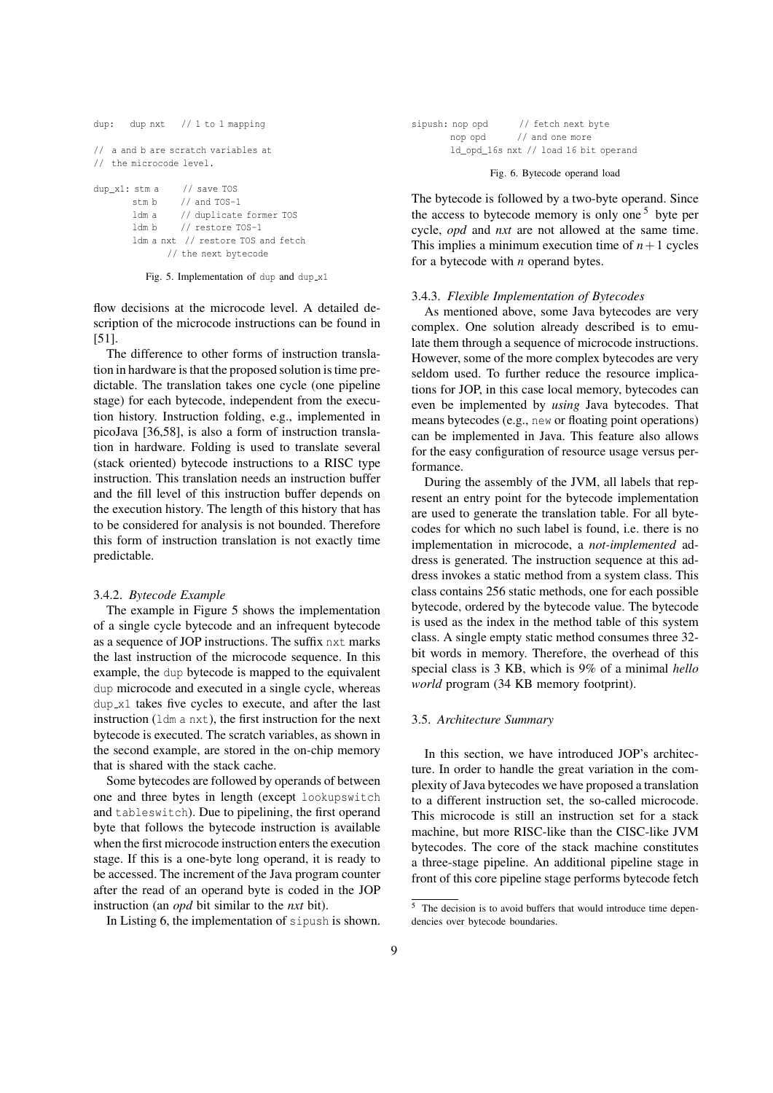```
dup: dup nxt // 1 to 1 mapping
// a and b are scratch variables at
// the microcode level.
dup_x1: stm a // save TOS
       stm b // and TOS-1
       ldm a // duplicate former TOS
       ldm b // restore TOS-1
       ldm a nxt // restore TOS and fetch
             // the next bytecode
```
Fig. 5. Implementation of dup and dup\_x1

flow decisions at the microcode level. A detailed description of the microcode instructions can be found in [51].

The difference to other forms of instruction translation in hardware is that the proposed solution is time predictable. The translation takes one cycle (one pipeline stage) for each bytecode, independent from the execution history. Instruction folding, e.g., implemented in picoJava [36,58], is also a form of instruction translation in hardware. Folding is used to translate several (stack oriented) bytecode instructions to a RISC type instruction. This translation needs an instruction buffer and the fill level of this instruction buffer depends on the execution history. The length of this history that has to be considered for analysis is not bounded. Therefore this form of instruction translation is not exactly time predictable.

#### 3.4.2. *Bytecode Example*

The example in Figure 5 shows the implementation of a single cycle bytecode and an infrequent bytecode as a sequence of JOP instructions. The suffix nxt marks the last instruction of the microcode sequence. In this example, the dup bytecode is mapped to the equivalent dup microcode and executed in a single cycle, whereas dup x1 takes five cycles to execute, and after the last instruction (ldm a nxt), the first instruction for the next bytecode is executed. The scratch variables, as shown in the second example, are stored in the on-chip memory that is shared with the stack cache.

Some bytecodes are followed by operands of between one and three bytes in length (except lookupswitch and tableswitch). Due to pipelining, the first operand byte that follows the bytecode instruction is available when the first microcode instruction enters the execution stage. If this is a one-byte long operand, it is ready to be accessed. The increment of the Java program counter after the read of an operand byte is coded in the JOP instruction (an *opd* bit similar to the *nxt* bit).

In Listing 6, the implementation of sipush is shown.

sipush: nop opd // fetch next byte nop opd // and one more ld\_opd\_16s nxt // load 16 bit operand

#### Fig. 6. Bytecode operand load

The bytecode is followed by a two-byte operand. Since the access to bytecode memory is only one  $5$  byte per cycle, *opd* and *nxt* are not allowed at the same time. This implies a minimum execution time of  $n+1$  cycles for a bytecode with *n* operand bytes.

## 3.4.3. *Flexible Implementation of Bytecodes*

As mentioned above, some Java bytecodes are very complex. One solution already described is to emulate them through a sequence of microcode instructions. However, some of the more complex bytecodes are very seldom used. To further reduce the resource implications for JOP, in this case local memory, bytecodes can even be implemented by *using* Java bytecodes. That means bytecodes (e.g., new or floating point operations) can be implemented in Java. This feature also allows for the easy configuration of resource usage versus performance.

During the assembly of the JVM, all labels that represent an entry point for the bytecode implementation are used to generate the translation table. For all bytecodes for which no such label is found, i.e. there is no implementation in microcode, a *not-implemented* address is generated. The instruction sequence at this address invokes a static method from a system class. This class contains 256 static methods, one for each possible bytecode, ordered by the bytecode value. The bytecode is used as the index in the method table of this system class. A single empty static method consumes three 32 bit words in memory. Therefore, the overhead of this special class is 3 KB, which is 9% of a minimal *hello world* program (34 KB memory footprint).

#### 3.5. *Architecture Summary*

In this section, we have introduced JOP's architecture. In order to handle the great variation in the complexity of Java bytecodes we have proposed a translation to a different instruction set, the so-called microcode. This microcode is still an instruction set for a stack machine, but more RISC-like than the CISC-like JVM bytecodes. The core of the stack machine constitutes a three-stage pipeline. An additional pipeline stage in front of this core pipeline stage performs bytecode fetch

<sup>5</sup> The decision is to avoid buffers that would introduce time dependencies over bytecode boundaries.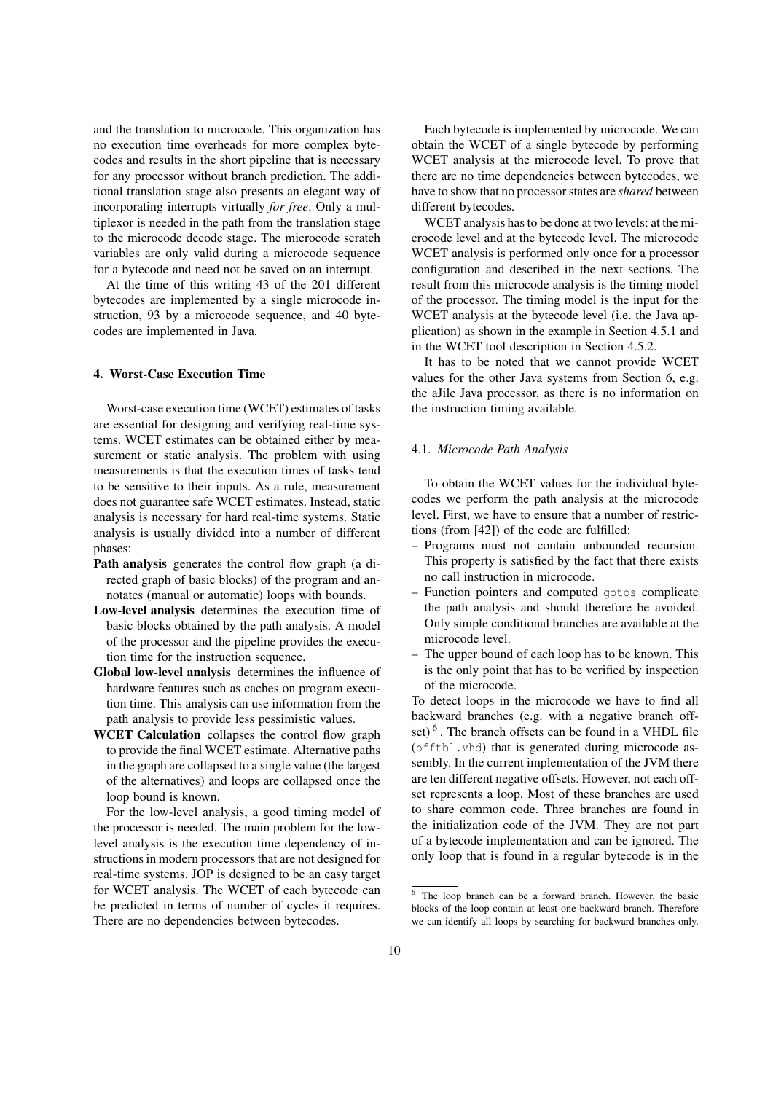and the translation to microcode. This organization has no execution time overheads for more complex bytecodes and results in the short pipeline that is necessary for any processor without branch prediction. The additional translation stage also presents an elegant way of incorporating interrupts virtually *for free*. Only a multiplexor is needed in the path from the translation stage to the microcode decode stage. The microcode scratch variables are only valid during a microcode sequence for a bytecode and need not be saved on an interrupt.

At the time of this writing 43 of the 201 different bytecodes are implemented by a single microcode instruction, 93 by a microcode sequence, and 40 bytecodes are implemented in Java.

## 4. Worst-Case Execution Time

Worst-case execution time (WCET) estimates of tasks are essential for designing and verifying real-time systems. WCET estimates can be obtained either by measurement or static analysis. The problem with using measurements is that the execution times of tasks tend to be sensitive to their inputs. As a rule, measurement does not guarantee safe WCET estimates. Instead, static analysis is necessary for hard real-time systems. Static analysis is usually divided into a number of different phases:

- Path analysis generates the control flow graph (a directed graph of basic blocks) of the program and annotates (manual or automatic) loops with bounds.
- Low-level analysis determines the execution time of basic blocks obtained by the path analysis. A model of the processor and the pipeline provides the execution time for the instruction sequence.
- Global low-level analysis determines the influence of hardware features such as caches on program execution time. This analysis can use information from the path analysis to provide less pessimistic values.
- WCET Calculation collapses the control flow graph to provide the final WCET estimate. Alternative paths in the graph are collapsed to a single value (the largest of the alternatives) and loops are collapsed once the loop bound is known.

For the low-level analysis, a good timing model of the processor is needed. The main problem for the lowlevel analysis is the execution time dependency of instructions in modern processors that are not designed for real-time systems. JOP is designed to be an easy target for WCET analysis. The WCET of each bytecode can be predicted in terms of number of cycles it requires. There are no dependencies between bytecodes.

Each bytecode is implemented by microcode. We can obtain the WCET of a single bytecode by performing WCET analysis at the microcode level. To prove that there are no time dependencies between bytecodes, we have to show that no processor states are *shared* between different bytecodes.

WCET analysis has to be done at two levels: at the microcode level and at the bytecode level. The microcode WCET analysis is performed only once for a processor configuration and described in the next sections. The result from this microcode analysis is the timing model of the processor. The timing model is the input for the WCET analysis at the bytecode level (i.e. the Java application) as shown in the example in Section 4.5.1 and in the WCET tool description in Section 4.5.2.

It has to be noted that we cannot provide WCET values for the other Java systems from Section 6, e.g. the aJile Java processor, as there is no information on the instruction timing available.

## 4.1. *Microcode Path Analysis*

To obtain the WCET values for the individual bytecodes we perform the path analysis at the microcode level. First, we have to ensure that a number of restrictions (from [42]) of the code are fulfilled:

- Programs must not contain unbounded recursion. This property is satisfied by the fact that there exists no call instruction in microcode.
- Function pointers and computed gotos complicate the path analysis and should therefore be avoided. Only simple conditional branches are available at the microcode level.
- The upper bound of each loop has to be known. This is the only point that has to be verified by inspection of the microcode.

To detect loops in the microcode we have to find all backward branches (e.g. with a negative branch offset)<sup>6</sup>. The branch offsets can be found in a VHDL file (offtbl.vhd) that is generated during microcode assembly. In the current implementation of the JVM there are ten different negative offsets. However, not each offset represents a loop. Most of these branches are used to share common code. Three branches are found in the initialization code of the JVM. They are not part of a bytecode implementation and can be ignored. The only loop that is found in a regular bytecode is in the

<sup>6</sup> The loop branch can be a forward branch. However, the basic blocks of the loop contain at least one backward branch. Therefore we can identify all loops by searching for backward branches only.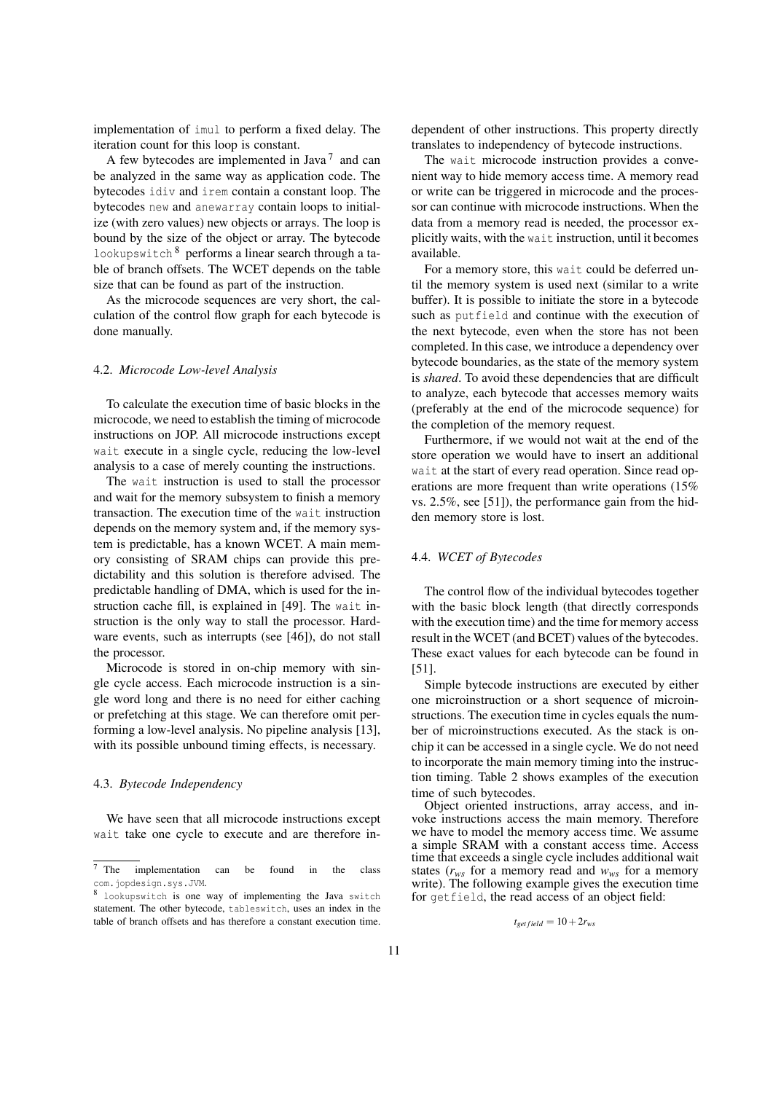implementation of imul to perform a fixed delay. The iteration count for this loop is constant.

A few bytecodes are implemented in Java<sup>7</sup> and can be analyzed in the same way as application code. The bytecodes idiv and irem contain a constant loop. The bytecodes new and anewarray contain loops to initialize (with zero values) new objects or arrays. The loop is bound by the size of the object or array. The bytecode lookupswitch <sup>8</sup> performs a linear search through a table of branch offsets. The WCET depends on the table size that can be found as part of the instruction.

As the microcode sequences are very short, the calculation of the control flow graph for each bytecode is done manually.

#### 4.2. *Microcode Low-level Analysis*

To calculate the execution time of basic blocks in the microcode, we need to establish the timing of microcode instructions on JOP. All microcode instructions except wait execute in a single cycle, reducing the low-level analysis to a case of merely counting the instructions.

The wait instruction is used to stall the processor and wait for the memory subsystem to finish a memory transaction. The execution time of the wait instruction depends on the memory system and, if the memory system is predictable, has a known WCET. A main memory consisting of SRAM chips can provide this predictability and this solution is therefore advised. The predictable handling of DMA, which is used for the instruction cache fill, is explained in [49]. The wait instruction is the only way to stall the processor. Hardware events, such as interrupts (see [46]), do not stall the processor.

Microcode is stored in on-chip memory with single cycle access. Each microcode instruction is a single word long and there is no need for either caching or prefetching at this stage. We can therefore omit performing a low-level analysis. No pipeline analysis [13], with its possible unbound timing effects, is necessary.

#### 4.3. *Bytecode Independency*

We have seen that all microcode instructions except wait take one cycle to execute and are therefore independent of other instructions. This property directly translates to independency of bytecode instructions.

The wait microcode instruction provides a convenient way to hide memory access time. A memory read or write can be triggered in microcode and the processor can continue with microcode instructions. When the data from a memory read is needed, the processor explicitly waits, with the wait instruction, until it becomes available.

For a memory store, this wait could be deferred until the memory system is used next (similar to a write buffer). It is possible to initiate the store in a bytecode such as putfield and continue with the execution of the next bytecode, even when the store has not been completed. In this case, we introduce a dependency over bytecode boundaries, as the state of the memory system is *shared*. To avoid these dependencies that are difficult to analyze, each bytecode that accesses memory waits (preferably at the end of the microcode sequence) for the completion of the memory request.

Furthermore, if we would not wait at the end of the store operation we would have to insert an additional wait at the start of every read operation. Since read operations are more frequent than write operations (15% vs. 2.5%, see [51]), the performance gain from the hidden memory store is lost.

# 4.4. *WCET of Bytecodes*

The control flow of the individual bytecodes together with the basic block length (that directly corresponds with the execution time) and the time for memory access result in the WCET (and BCET) values of the bytecodes. These exact values for each bytecode can be found in [51].

Simple bytecode instructions are executed by either one microinstruction or a short sequence of microinstructions. The execution time in cycles equals the number of microinstructions executed. As the stack is onchip it can be accessed in a single cycle. We do not need to incorporate the main memory timing into the instruction timing. Table 2 shows examples of the execution time of such bytecodes.

Object oriented instructions, array access, and invoke instructions access the main memory. Therefore we have to model the memory access time. We assume a simple SRAM with a constant access time. Access time that exceeds a single cycle includes additional wait states ( $r_{ws}$  for a memory read and  $w_{ws}$  for a memory write). The following example gives the execution time for getfield, the read access of an object field:

 $t_{\text{get field}} = 10 + 2r_{\text{ws}}$ 

 $\frac{1}{7}$  The implementation can be found in the class com.jopdesign.sys.JVM.

<sup>8</sup> lookupswitch is one way of implementing the Java switch statement. The other bytecode, tableswitch, uses an index in the table of branch offsets and has therefore a constant execution time.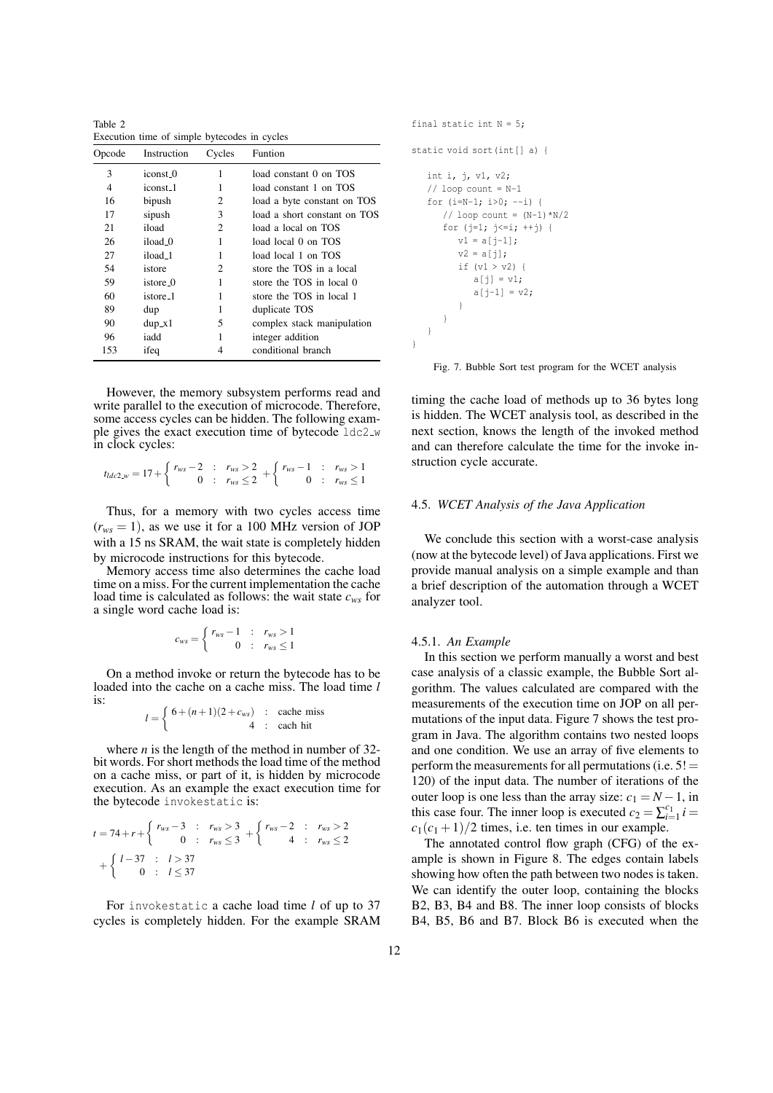Table 2 Execution time of simple bytecodes in cycles

| load constant 0 on TOS       |
|------------------------------|
|                              |
|                              |
| load constant 1 on TOS       |
| load a byte constant on TOS  |
| load a short constant on TOS |
| load a local on TOS          |
| load local 0 on TOS          |
| load local 1 on TOS          |
| store the TOS in a local     |
| store the TOS in local 0     |
| store the TOS in local 1     |
|                              |
| complex stack manipulation   |
|                              |
|                              |
|                              |

However, the memory subsystem performs read and write parallel to the execution of microcode. Therefore, some access cycles can be hidden. The following example gives the exact execution time of bytecode ldc2\_w in clock cycles:

$$
t_{ldc2,w} = 17 + \begin{cases} r_{ws} - 2 & : r_{ws} > 2 \\ 0 & : r_{ws} \le 2 \end{cases} + \begin{cases} r_{ws} - 1 & : r_{ws} > 1 \\ 0 & : r_{ws} \le 1 \end{cases}
$$

Thus, for a memory with two cycles access time  $(r_{ws} = 1)$ , as we use it for a 100 MHz version of JOP with a 15 ns SRAM, the wait state is completely hidden by microcode instructions for this bytecode.

Memory access time also determines the cache load time on a miss. For the current implementation the cache load time is calculated as follows: the wait state *cws* for a single word cache load is:

$$
c_{ws} = \left\{ \begin{array}{rcl} r_{ws} - 1 & : & r_{ws} > 1 \\ 0 & : & r_{ws} \le 1 \end{array} \right.
$$

On a method invoke or return the bytecode has to be loaded into the cache on a cache miss. The load time *l* is:

$$
l = \begin{cases} 6 + (n+1)(2 + c_{ws}) & \text{: cache miss} \\ 4 & \text{: each hit} \end{cases}
$$

where *n* is the length of the method in number of 32bit words. For short methods the load time of the method on a cache miss, or part of it, is hidden by microcode execution. As an example the exact execution time for the bytecode invokestatic is:

$$
t = 74 + r + \begin{cases} r_{ws} - 3 & \text{: } r_{ws} > 3 \\ 0 & \text{: } r_{ws} \le 3 \end{cases} + \begin{cases} r_{ws} - 2 & \text{: } r_{ws} > 2 \\ 4 & \text{: } r_{ws} \le 2 \\ + \begin{cases} l - 37 & \text{: } l > 37 \\ 0 & \text{: } l \le 37 \end{cases}
$$

For invokestatic a cache load time *l* of up to 37 cycles is completely hidden. For the example SRAM

```
final static int N = 5;
static void sort(int[] a) {
  int i, j, v1, v2;
   // loop count = N-1
   for (i=N-1; i>0; -i) {
      // loop count = (N-1)*N/2for (j=1; j<=i; ++j) {
         v1 = a[i-1];v2 = a[j];if (v1 > v2) {
            a[j] = v1;a[j-1] = v2;}
      }
   }
}
```
Fig. 7. Bubble Sort test program for the WCET analysis

timing the cache load of methods up to 36 bytes long is hidden. The WCET analysis tool, as described in the next section, knows the length of the invoked method and can therefore calculate the time for the invoke instruction cycle accurate.

# 4.5. *WCET Analysis of the Java Application*

We conclude this section with a worst-case analysis (now at the bytecode level) of Java applications. First we provide manual analysis on a simple example and than a brief description of the automation through a WCET analyzer tool.

## 4.5.1. *An Example*

In this section we perform manually a worst and best case analysis of a classic example, the Bubble Sort algorithm. The values calculated are compared with the measurements of the execution time on JOP on all permutations of the input data. Figure 7 shows the test program in Java. The algorithm contains two nested loops and one condition. We use an array of five elements to perform the measurements for all permutations (i.e.  $5! =$ 120) of the input data. The number of iterations of the outer loop is one less than the array size:  $c_1 = N - 1$ , in this case four. The inner loop is executed  $c_2 = \sum_{i=1}^{c_1} i =$  $c_1(c_1 + 1)/2$  times, i.e. ten times in our example.

The annotated control flow graph (CFG) of the example is shown in Figure 8. The edges contain labels showing how often the path between two nodes is taken. We can identify the outer loop, containing the blocks B2, B3, B4 and B8. The inner loop consists of blocks B4, B5, B6 and B7. Block B6 is executed when the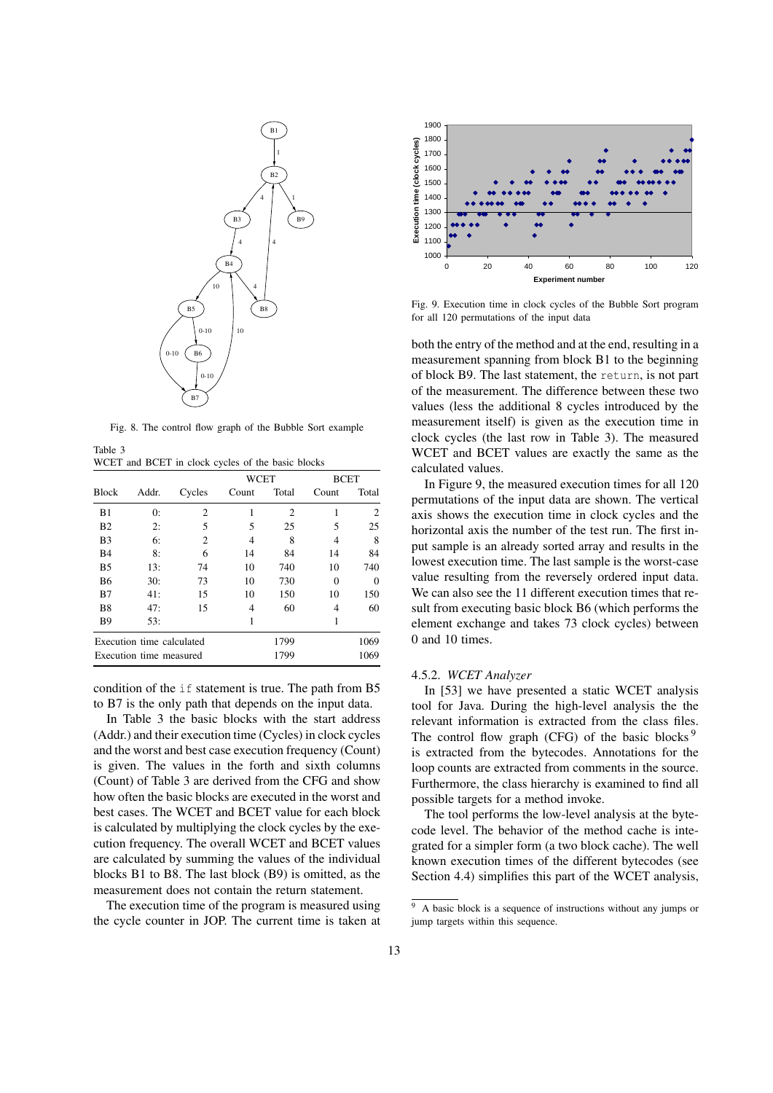

Fig. 8. The control flow graph of the Bubble Sort example

Table 3 WCET and BCET in clock cycles of the basic blocks

|                           |       |                | WCET  |       | <b>BCET</b> |                |  |
|---------------------------|-------|----------------|-------|-------|-------------|----------------|--|
| <b>Block</b>              | Addr. | Cycles         | Count | Total | Count       | Total          |  |
| B1                        | 0:    | $\overline{2}$ | 1     | 2     |             | $\overline{2}$ |  |
| B <sub>2</sub>            | 2:    | 5              | 5     | 25    | 5           | 25             |  |
| B3                        | 6:    | 2              | 4     | 8     | 4           | 8              |  |
| B <sub>4</sub>            | 8:    | 6              | 14    | 84    | 14          | 84             |  |
| B5                        | 13:   | 74             | 10    | 740   | 10          | 740            |  |
| <b>B6</b>                 | 30:   | 73             | 10    | 730   | $\theta$    | $\Omega$       |  |
| B7                        | 41:   | 15             | 10    | 150   | 10          | 150            |  |
| B <sub>8</sub>            | 47:   | 15             | 4     | 60    | 4           | 60             |  |
| <b>B</b> 9                | 53:   |                |       |       | 1           |                |  |
| Execution time calculated |       |                | 1799  |       | 1069        |                |  |
| Execution time measured   |       |                |       | 1799  |             | 1069           |  |

condition of the if statement is true. The path from B5 to B7 is the only path that depends on the input data.

In Table 3 the basic blocks with the start address (Addr.) and their execution time (Cycles) in clock cycles and the worst and best case execution frequency (Count) is given. The values in the forth and sixth columns (Count) of Table 3 are derived from the CFG and show how often the basic blocks are executed in the worst and best cases. The WCET and BCET value for each block is calculated by multiplying the clock cycles by the execution frequency. The overall WCET and BCET values are calculated by summing the values of the individual blocks B1 to B8. The last block (B9) is omitted, as the measurement does not contain the return statement.

The execution time of the program is measured using the cycle counter in JOP. The current time is taken at



Fig. 9. Execution time in clock cycles of the Bubble Sort program for all 120 permutations of the input data

both the entry of the method and at the end, resulting in a measurement spanning from block B1 to the beginning of block B9. The last statement, the return, is not part of the measurement. The difference between these two values (less the additional 8 cycles introduced by the measurement itself) is given as the execution time in clock cycles (the last row in Table 3). The measured WCET and BCET values are exactly the same as the calculated values.

In Figure 9, the measured execution times for all 120 permutations of the input data are shown. The vertical axis shows the execution time in clock cycles and the horizontal axis the number of the test run. The first input sample is an already sorted array and results in the lowest execution time. The last sample is the worst-case value resulting from the reversely ordered input data. We can also see the 11 different execution times that result from executing basic block B6 (which performs the element exchange and takes 73 clock cycles) between 0 and 10 times.

## 4.5.2. *WCET Analyzer*

In [53] we have presented a static WCET analysis tool for Java. During the high-level analysis the the relevant information is extracted from the class files. The control flow graph (CFG) of the basic blocks  $9$ is extracted from the bytecodes. Annotations for the loop counts are extracted from comments in the source. Furthermore, the class hierarchy is examined to find all possible targets for a method invoke.

The tool performs the low-level analysis at the bytecode level. The behavior of the method cache is integrated for a simpler form (a two block cache). The well known execution times of the different bytecodes (see Section 4.4) simplifies this part of the WCET analysis,

 $9 \overline{)}$  A basic block is a sequence of instructions without any jumps or jump targets within this sequence.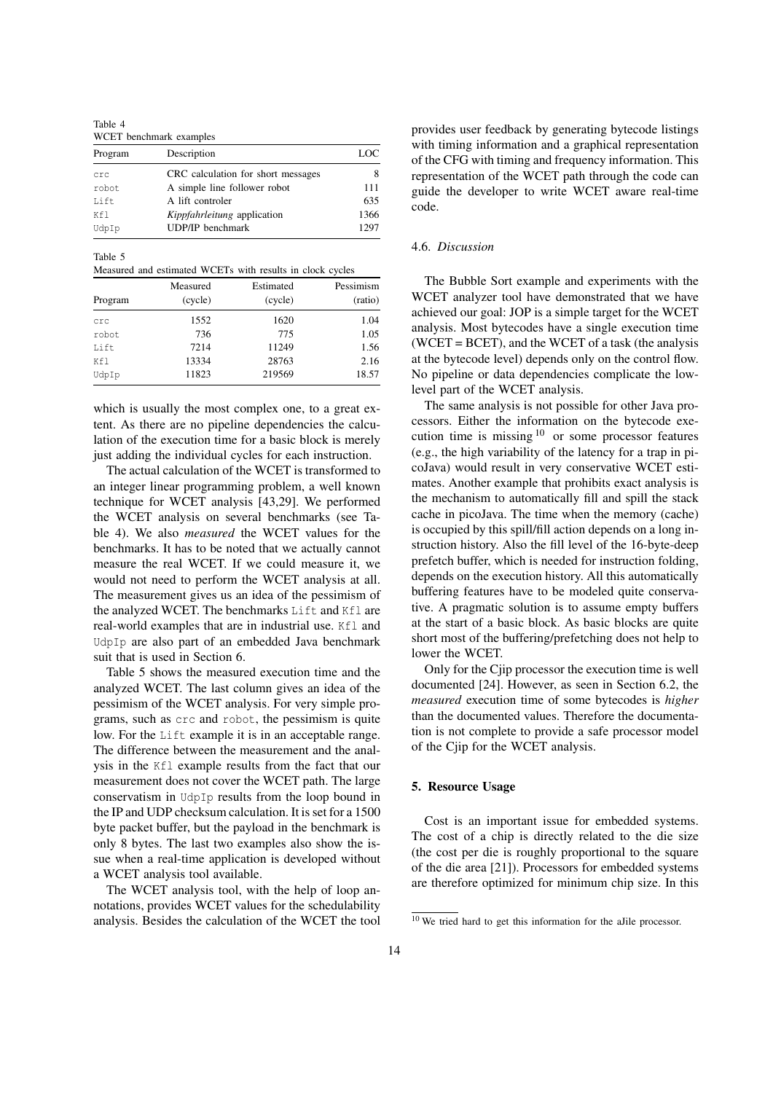Table 4 WCET benchmark examples

| Program | Description                        | LOC' |
|---------|------------------------------------|------|
| crc     | CRC calculation for short messages | 8    |
| robot   | A simple line follower robot       | 111  |
| Lift    | A lift controler                   | 635  |
| Kf1     | Kippfahrleitung application        | 1366 |
| UdpIp   | <b>UDP/IP</b> benchmark            | 1297 |

Table 5

Measured and estimated WCETs with results in clock cycles

| Program | Measured<br>(cycle) | Estimated<br>(cycle) | Pessimism<br>(ratio) |
|---------|---------------------|----------------------|----------------------|
| crc     | 1552                | 1620                 | 1.04                 |
| robot   | 736                 | 775                  | 1.05                 |
| Lift    | 7214                | 11249                | 1.56                 |
| Kf1     | 13334               | 28763                | 2.16                 |
| UdpIp   | 11823               | 219569               | 18.57                |

which is usually the most complex one, to a great extent. As there are no pipeline dependencies the calculation of the execution time for a basic block is merely just adding the individual cycles for each instruction.

The actual calculation of the WCET is transformed to an integer linear programming problem, a well known technique for WCET analysis [43,29]. We performed the WCET analysis on several benchmarks (see Table 4). We also *measured* the WCET values for the benchmarks. It has to be noted that we actually cannot measure the real WCET. If we could measure it, we would not need to perform the WCET analysis at all. The measurement gives us an idea of the pessimism of the analyzed WCET. The benchmarks Lift and Kfl are real-world examples that are in industrial use. Kfl and UdpIp are also part of an embedded Java benchmark suit that is used in Section 6.

Table 5 shows the measured execution time and the analyzed WCET. The last column gives an idea of the pessimism of the WCET analysis. For very simple programs, such as crc and robot, the pessimism is quite low. For the Lift example it is in an acceptable range. The difference between the measurement and the analysis in the Kfl example results from the fact that our measurement does not cover the WCET path. The large conservatism in UdpIp results from the loop bound in the IP and UDP checksum calculation. It is set for a 1500 byte packet buffer, but the payload in the benchmark is only 8 bytes. The last two examples also show the issue when a real-time application is developed without a WCET analysis tool available.

The WCET analysis tool, with the help of loop annotations, provides WCET values for the schedulability analysis. Besides the calculation of the WCET the tool provides user feedback by generating bytecode listings with timing information and a graphical representation of the CFG with timing and frequency information. This representation of the WCET path through the code can guide the developer to write WCET aware real-time code.

# 4.6. *Discussion*

The Bubble Sort example and experiments with the WCET analyzer tool have demonstrated that we have achieved our goal: JOP is a simple target for the WCET analysis. Most bytecodes have a single execution time (WCET = BCET), and the WCET of a task (the analysis at the bytecode level) depends only on the control flow. No pipeline or data dependencies complicate the lowlevel part of the WCET analysis.

The same analysis is not possible for other Java processors. Either the information on the bytecode execution time is missing  $10$  or some processor features (e.g., the high variability of the latency for a trap in picoJava) would result in very conservative WCET estimates. Another example that prohibits exact analysis is the mechanism to automatically fill and spill the stack cache in picoJava. The time when the memory (cache) is occupied by this spill/fill action depends on a long instruction history. Also the fill level of the 16-byte-deep prefetch buffer, which is needed for instruction folding, depends on the execution history. All this automatically buffering features have to be modeled quite conservative. A pragmatic solution is to assume empty buffers at the start of a basic block. As basic blocks are quite short most of the buffering/prefetching does not help to lower the WCET.

Only for the Cjip processor the execution time is well documented [24]. However, as seen in Section 6.2, the *measured* execution time of some bytecodes is *higher* than the documented values. Therefore the documentation is not complete to provide a safe processor model of the Cjip for the WCET analysis.

# 5. Resource Usage

Cost is an important issue for embedded systems. The cost of a chip is directly related to the die size (the cost per die is roughly proportional to the square of the die area [21]). Processors for embedded systems are therefore optimized for minimum chip size. In this

<sup>10</sup> We tried hard to get this information for the aJile processor.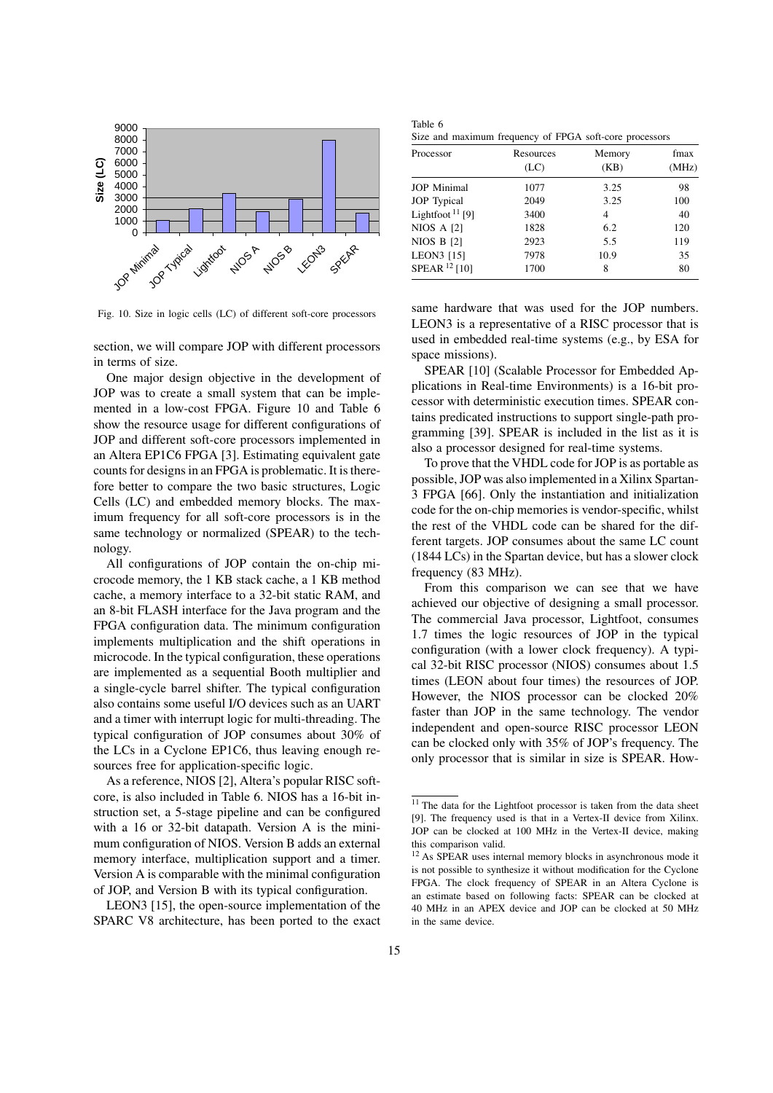

Fig. 10. Size in logic cells (LC) of different soft-core processors

section, we will compare JOP with different processors in terms of size.

One major design objective in the development of JOP was to create a small system that can be implemented in a low-cost FPGA. Figure 10 and Table 6 show the resource usage for different configurations of JOP and different soft-core processors implemented in an Altera EP1C6 FPGA [3]. Estimating equivalent gate counts for designs in an FPGA is problematic. It is therefore better to compare the two basic structures, Logic Cells (LC) and embedded memory blocks. The maximum frequency for all soft-core processors is in the same technology or normalized (SPEAR) to the technology.

All configurations of JOP contain the on-chip microcode memory, the 1 KB stack cache, a 1 KB method cache, a memory interface to a 32-bit static RAM, and an 8-bit FLASH interface for the Java program and the FPGA configuration data. The minimum configuration implements multiplication and the shift operations in microcode. In the typical configuration, these operations are implemented as a sequential Booth multiplier and a single-cycle barrel shifter. The typical configuration also contains some useful I/O devices such as an UART and a timer with interrupt logic for multi-threading. The typical configuration of JOP consumes about 30% of the LCs in a Cyclone EP1C6, thus leaving enough resources free for application-specific logic.

As a reference, NIOS [2], Altera's popular RISC softcore, is also included in Table 6. NIOS has a 16-bit instruction set, a 5-stage pipeline and can be configured with a 16 or 32-bit datapath. Version A is the minimum configuration of NIOS. Version B adds an external memory interface, multiplication support and a timer. Version A is comparable with the minimal configuration of JOP, and Version B with its typical configuration.

LEON3 [15], the open-source implementation of the SPARC V8 architecture, has been ported to the exact

| Table 6                                                 |  |  |
|---------------------------------------------------------|--|--|
| Size and maximum frequency of FPGA soft-core processors |  |  |

| Processor                   | Resources<br>(LC) | Memory<br>(KB) | fmax<br>(MHz) |
|-----------------------------|-------------------|----------------|---------------|
| <b>JOP</b> Minimal          | 1077              | 3.25           | 98            |
| <b>JOP</b> Typical          | 2049              | 3.25           | 100           |
| Lightfoot <sup>11</sup> [9] | 3400              | 4              | 40            |
| NIOS A [2]                  | 1828              | 6.2            | 120           |
| NIOS B [2]                  | 2923              | 5.5            | 119           |
| <b>LEON3</b> [15]           | 7978              | 10.9           | 35            |
| SPEAR <sup>12</sup> [10]    | 1700              | 8              | 80            |

same hardware that was used for the JOP numbers. LEON3 is a representative of a RISC processor that is used in embedded real-time systems (e.g., by ESA for space missions).

SPEAR [10] (Scalable Processor for Embedded Applications in Real-time Environments) is a 16-bit processor with deterministic execution times. SPEAR contains predicated instructions to support single-path programming [39]. SPEAR is included in the list as it is also a processor designed for real-time systems.

To prove that the VHDL code for JOP is as portable as possible, JOP was also implemented in a Xilinx Spartan-3 FPGA [66]. Only the instantiation and initialization code for the on-chip memories is vendor-specific, whilst the rest of the VHDL code can be shared for the different targets. JOP consumes about the same LC count (1844 LCs) in the Spartan device, but has a slower clock frequency (83 MHz).

From this comparison we can see that we have achieved our objective of designing a small processor. The commercial Java processor, Lightfoot, consumes 1.7 times the logic resources of JOP in the typical configuration (with a lower clock frequency). A typical 32-bit RISC processor (NIOS) consumes about 1.5 times (LEON about four times) the resources of JOP. However, the NIOS processor can be clocked 20% faster than JOP in the same technology. The vendor independent and open-source RISC processor LEON can be clocked only with 35% of JOP's frequency. The only processor that is similar in size is SPEAR. How-

 $\overline{11}$  The data for the Lightfoot processor is taken from the data sheet [9]. The frequency used is that in a Vertex-II device from Xilinx. JOP can be clocked at 100 MHz in the Vertex-II device, making this comparison valid.

<sup>&</sup>lt;sup>12</sup> As SPEAR uses internal memory blocks in asynchronous mode it is not possible to synthesize it without modification for the Cyclone FPGA. The clock frequency of SPEAR in an Altera Cyclone is an estimate based on following facts: SPEAR can be clocked at 40 MHz in an APEX device and JOP can be clocked at 50 MHz in the same device.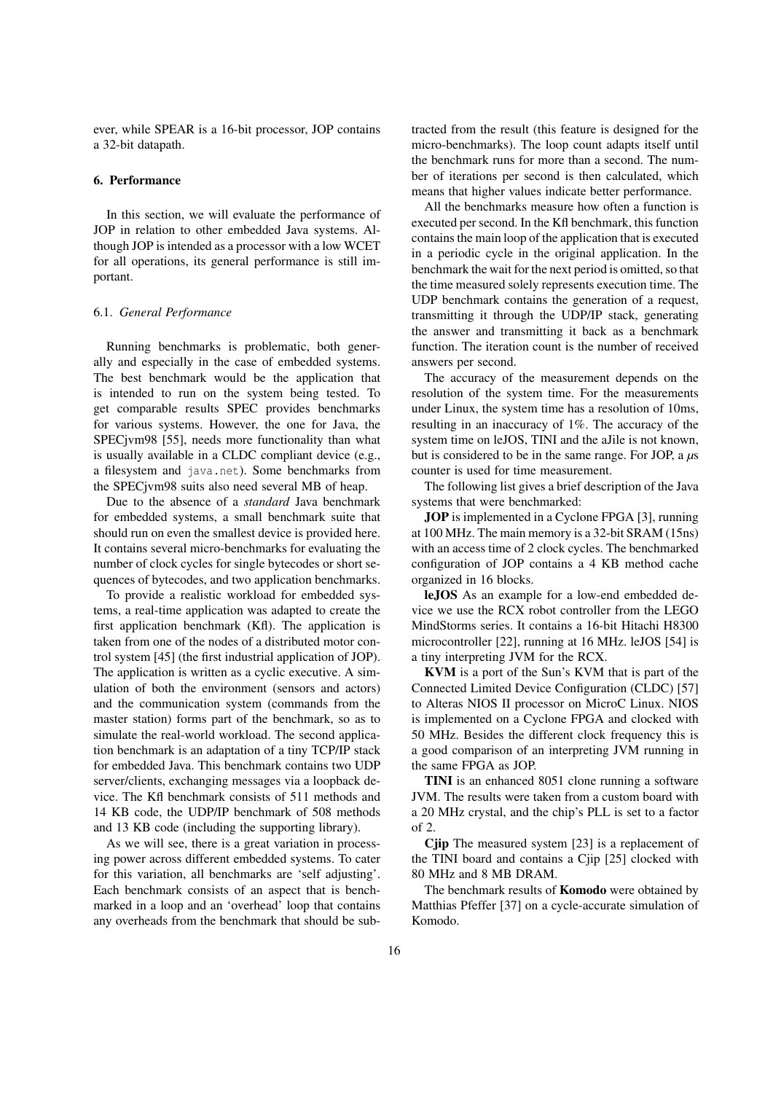ever, while SPEAR is a 16-bit processor, JOP contains a 32-bit datapath.

## 6. Performance

In this section, we will evaluate the performance of JOP in relation to other embedded Java systems. Although JOP is intended as a processor with a low WCET for all operations, its general performance is still important.

#### 6.1. *General Performance*

Running benchmarks is problematic, both generally and especially in the case of embedded systems. The best benchmark would be the application that is intended to run on the system being tested. To get comparable results SPEC provides benchmarks for various systems. However, the one for Java, the SPECjvm98 [55], needs more functionality than what is usually available in a CLDC compliant device (e.g., a filesystem and java.net). Some benchmarks from the SPECjvm98 suits also need several MB of heap.

Due to the absence of a *standard* Java benchmark for embedded systems, a small benchmark suite that should run on even the smallest device is provided here. It contains several micro-benchmarks for evaluating the number of clock cycles for single bytecodes or short sequences of bytecodes, and two application benchmarks.

To provide a realistic workload for embedded systems, a real-time application was adapted to create the first application benchmark (Kfl). The application is taken from one of the nodes of a distributed motor control system [45] (the first industrial application of JOP). The application is written as a cyclic executive. A simulation of both the environment (sensors and actors) and the communication system (commands from the master station) forms part of the benchmark, so as to simulate the real-world workload. The second application benchmark is an adaptation of a tiny TCP/IP stack for embedded Java. This benchmark contains two UDP server/clients, exchanging messages via a loopback device. The Kfl benchmark consists of 511 methods and 14 KB code, the UDP/IP benchmark of 508 methods and 13 KB code (including the supporting library).

As we will see, there is a great variation in processing power across different embedded systems. To cater for this variation, all benchmarks are 'self adjusting'. Each benchmark consists of an aspect that is benchmarked in a loop and an 'overhead' loop that contains any overheads from the benchmark that should be subtracted from the result (this feature is designed for the micro-benchmarks). The loop count adapts itself until the benchmark runs for more than a second. The number of iterations per second is then calculated, which means that higher values indicate better performance.

All the benchmarks measure how often a function is executed per second. In the Kfl benchmark, this function contains the main loop of the application that is executed in a periodic cycle in the original application. In the benchmark the wait for the next period is omitted, so that the time measured solely represents execution time. The UDP benchmark contains the generation of a request, transmitting it through the UDP/IP stack, generating the answer and transmitting it back as a benchmark function. The iteration count is the number of received answers per second.

The accuracy of the measurement depends on the resolution of the system time. For the measurements under Linux, the system time has a resolution of 10ms, resulting in an inaccuracy of 1%. The accuracy of the system time on leJOS, TINI and the aJile is not known, but is considered to be in the same range. For JOP, a *µ*s counter is used for time measurement.

The following list gives a brief description of the Java systems that were benchmarked:

JOP is implemented in a Cyclone FPGA [3], running at 100 MHz. The main memory is a 32-bit SRAM (15ns) with an access time of 2 clock cycles. The benchmarked configuration of JOP contains a 4 KB method cache organized in 16 blocks.

leJOS As an example for a low-end embedded device we use the RCX robot controller from the LEGO MindStorms series. It contains a 16-bit Hitachi H8300 microcontroller [22], running at 16 MHz. leJOS [54] is a tiny interpreting JVM for the RCX.

KVM is a port of the Sun's KVM that is part of the Connected Limited Device Configuration (CLDC) [57] to Alteras NIOS II processor on MicroC Linux. NIOS is implemented on a Cyclone FPGA and clocked with 50 MHz. Besides the different clock frequency this is a good comparison of an interpreting JVM running in the same FPGA as JOP.

TINI is an enhanced 8051 clone running a software JVM. The results were taken from a custom board with a 20 MHz crystal, and the chip's PLL is set to a factor of 2.

Cjip The measured system [23] is a replacement of the TINI board and contains a Cjip [25] clocked with 80 MHz and 8 MB DRAM.

The benchmark results of **Komodo** were obtained by Matthias Pfeffer [37] on a cycle-accurate simulation of Komodo.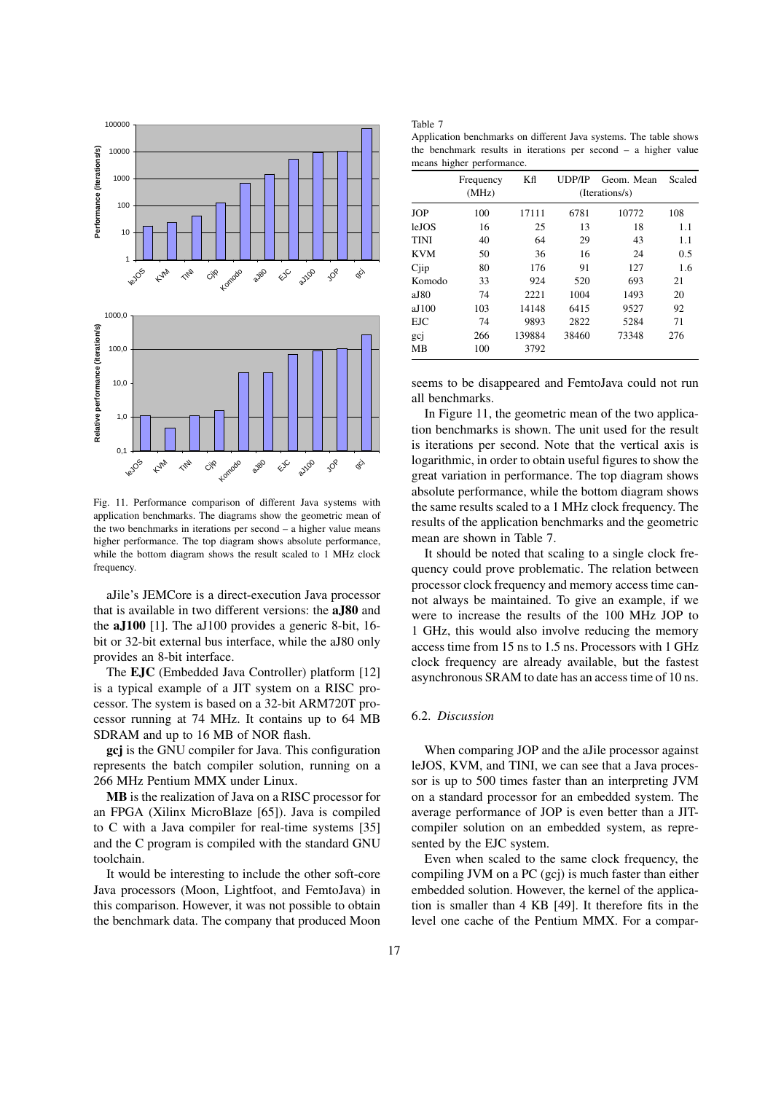

Fig. 11. Performance comparison of different Java systems with application benchmarks. The diagrams show the geometric mean of the two benchmarks in iterations per second – a higher value means higher performance. The top diagram shows absolute performance, while the bottom diagram shows the result scaled to 1 MHz clock frequency.

aJile's JEMCore is a direct-execution Java processor that is available in two different versions: the aJ80 and the aJ100 [1]. The aJ100 provides a generic 8-bit, 16 bit or 32-bit external bus interface, while the aJ80 only provides an 8-bit interface.

The EJC (Embedded Java Controller) platform [12] is a typical example of a JIT system on a RISC processor. The system is based on a 32-bit ARM720T processor running at 74 MHz. It contains up to 64 MB SDRAM and up to 16 MB of NOR flash.

gcj is the GNU compiler for Java. This configuration represents the batch compiler solution, running on a 266 MHz Pentium MMX under Linux.

MB is the realization of Java on a RISC processor for an FPGA (Xilinx MicroBlaze [65]). Java is compiled to C with a Java compiler for real-time systems [35] and the C program is compiled with the standard GNU toolchain.

It would be interesting to include the other soft-core Java processors (Moon, Lightfoot, and FemtoJava) in this comparison. However, it was not possible to obtain the benchmark data. The company that produced Moon

| ۰.<br>۰.<br>× |  |
|---------------|--|
|---------------|--|

Application benchmarks on different Java systems. The table shows the benchmark results in iterations per second – a higher value means higher performance.

|             | Frequency | Κfl    | <b>UDP/IP</b>  | Geom. Mean | Scaled |
|-------------|-----------|--------|----------------|------------|--------|
|             | (MHz)     |        | (Iterations/s) |            |        |
| <b>JOP</b>  | 100       | 17111  | 6781           | 10772      | 108    |
| leJOS       | 16        | 25     | 13             | 18         | 1.1    |
| <b>TINI</b> | 40        | 64     | 29             | 43         | 1.1    |
| <b>KVM</b>  | 50        | 36     | 16             | 24         | 0.5    |
| Cjip        | 80        | 176    | 91             | 127        | 1.6    |
| Komodo      | 33        | 924    | 520            | 693        | 21     |
| aJ80        | 74        | 2221   | 1004           | 1493       | 20     |
| aJ100       | 103       | 14148  | 6415           | 9527       | 92     |
| <b>EJC</b>  | 74        | 9893   | 2822           | 5284       | 71     |
| gcj         | 266       | 139884 | 38460          | 73348      | 276    |
| MB          | 100       | 3792   |                |            |        |

seems to be disappeared and FemtoJava could not run all benchmarks.

In Figure 11, the geometric mean of the two application benchmarks is shown. The unit used for the result is iterations per second. Note that the vertical axis is logarithmic, in order to obtain useful figures to show the great variation in performance. The top diagram shows absolute performance, while the bottom diagram shows the same results scaled to a 1 MHz clock frequency. The results of the application benchmarks and the geometric mean are shown in Table 7.

It should be noted that scaling to a single clock frequency could prove problematic. The relation between processor clock frequency and memory access time cannot always be maintained. To give an example, if we were to increase the results of the 100 MHz JOP to 1 GHz, this would also involve reducing the memory access time from 15 ns to 1.5 ns. Processors with 1 GHz clock frequency are already available, but the fastest asynchronous SRAM to date has an access time of 10 ns.

## 6.2. *Discussion*

When comparing JOP and the aJile processor against leJOS, KVM, and TINI, we can see that a Java processor is up to 500 times faster than an interpreting JVM on a standard processor for an embedded system. The average performance of JOP is even better than a JITcompiler solution on an embedded system, as represented by the EJC system.

Even when scaled to the same clock frequency, the compiling JVM on a PC (gcj) is much faster than either embedded solution. However, the kernel of the application is smaller than 4 KB [49]. It therefore fits in the level one cache of the Pentium MMX. For a compar-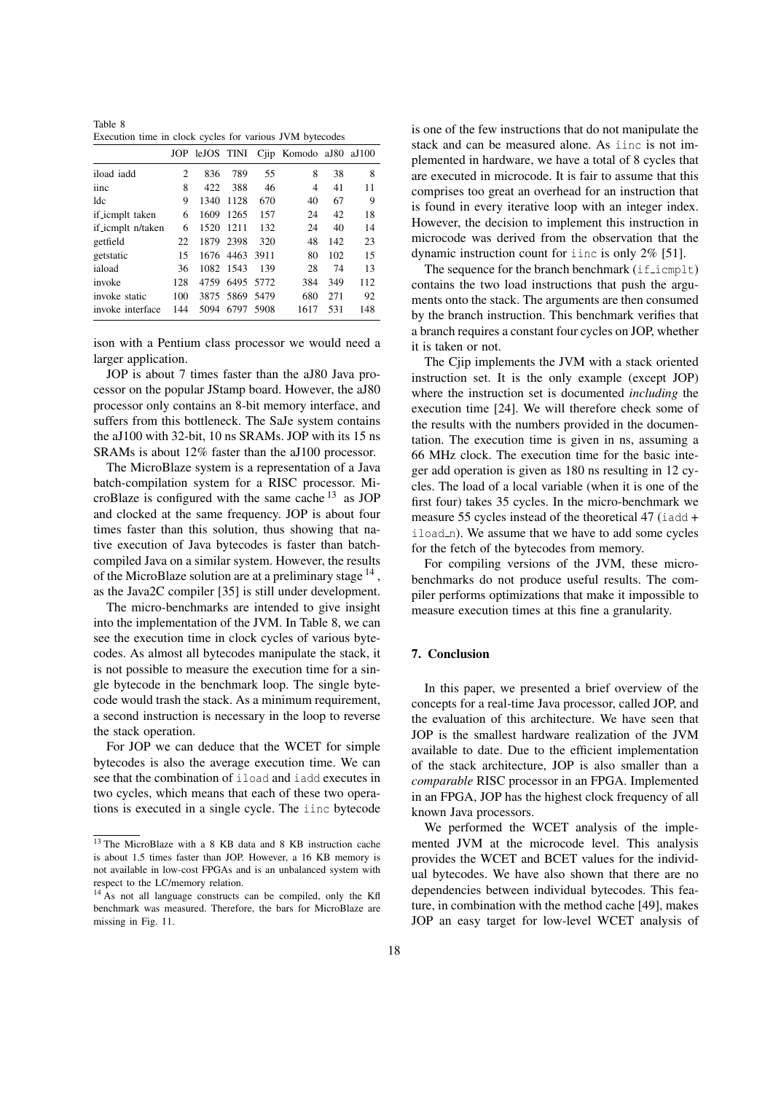Table 8 Execution time in clock cycles for various JVM bytecodes

|                   |     | JOP leJOS TINI |                |      | Cjip Komodo aJ80 aJ100 |     |     |
|-------------------|-----|----------------|----------------|------|------------------------|-----|-----|
| iload iadd        | 2   | 836            | 789            | 55   | 8                      | 38  | 8   |
| iinc              | 8   | 422            | 388            | 46   | 4                      | 41  | 11  |
| ldc               | 9   | 1340           | 1128           | 670  | 40                     | 67  | 9   |
| if_icmplt taken   | 6   | 1609           | 1265           | 157  | 24                     | 42  | 18  |
| if_icmplt n/taken | 6   | 1520           | 1211           | 132  | 24                     | 40  | 14  |
| getfield          | 22  | 1879           | 2398           | 320  | 48                     | 142 | 23  |
| getstatic         | 15  |                | 1676 4463 3911 |      | 80                     | 102 | 15  |
| iaload            | 36  | 1082           | 1543           | 139  | 28                     | 74  | 13  |
| invoke            | 128 | 4759           | 6495           | 5772 | 384                    | 349 | 112 |
| invoke static     | 100 | 3875           | 5869           | 5479 | 680                    | 271 | 92  |
| invoke interface  | 144 | 5094           | 6797           | 5908 | 1617                   | 531 | 148 |

ison with a Pentium class processor we would need a larger application.

JOP is about 7 times faster than the aJ80 Java processor on the popular JStamp board. However, the aJ80 processor only contains an 8-bit memory interface, and suffers from this bottleneck. The SaJe system contains the aJ100 with 32-bit, 10 ns SRAMs. JOP with its 15 ns SRAMs is about 12% faster than the aJ100 processor.

The MicroBlaze system is a representation of a Java batch-compilation system for a RISC processor. MicroBlaze is configured with the same cache  $13$  as JOP and clocked at the same frequency. JOP is about four times faster than this solution, thus showing that native execution of Java bytecodes is faster than batchcompiled Java on a similar system. However, the results of the MicroBlaze solution are at a preliminary stage  $^{14}$ , as the Java2C compiler [35] is still under development.

The micro-benchmarks are intended to give insight into the implementation of the JVM. In Table 8, we can see the execution time in clock cycles of various bytecodes. As almost all bytecodes manipulate the stack, it is not possible to measure the execution time for a single bytecode in the benchmark loop. The single bytecode would trash the stack. As a minimum requirement, a second instruction is necessary in the loop to reverse the stack operation.

For JOP we can deduce that the WCET for simple bytecodes is also the average execution time. We can see that the combination of iload and iadd executes in two cycles, which means that each of these two operations is executed in a single cycle. The iinc bytecode is one of the few instructions that do not manipulate the stack and can be measured alone. As iinc is not implemented in hardware, we have a total of 8 cycles that are executed in microcode. It is fair to assume that this comprises too great an overhead for an instruction that is found in every iterative loop with an integer index. However, the decision to implement this instruction in microcode was derived from the observation that the dynamic instruction count for iinc is only 2% [51].

The sequence for the branch benchmark  $(i$ f $\text{1cmplt})$ contains the two load instructions that push the arguments onto the stack. The arguments are then consumed by the branch instruction. This benchmark verifies that a branch requires a constant four cycles on JOP, whether it is taken or not.

The Cjip implements the JVM with a stack oriented instruction set. It is the only example (except JOP) where the instruction set is documented *including* the execution time [24]. We will therefore check some of the results with the numbers provided in the documentation. The execution time is given in ns, assuming a 66 MHz clock. The execution time for the basic integer add operation is given as 180 ns resulting in 12 cycles. The load of a local variable (when it is one of the first four) takes 35 cycles. In the micro-benchmark we measure 55 cycles instead of the theoretical 47 (iadd + iload<sub>n</sub>). We assume that we have to add some cycles for the fetch of the bytecodes from memory.

For compiling versions of the JVM, these microbenchmarks do not produce useful results. The compiler performs optimizations that make it impossible to measure execution times at this fine a granularity.

## 7. Conclusion

In this paper, we presented a brief overview of the concepts for a real-time Java processor, called JOP, and the evaluation of this architecture. We have seen that JOP is the smallest hardware realization of the JVM available to date. Due to the efficient implementation of the stack architecture, JOP is also smaller than a *comparable* RISC processor in an FPGA. Implemented in an FPGA, JOP has the highest clock frequency of all known Java processors.

We performed the WCET analysis of the implemented JVM at the microcode level. This analysis provides the WCET and BCET values for the individual bytecodes. We have also shown that there are no dependencies between individual bytecodes. This feature, in combination with the method cache [49], makes JOP an easy target for low-level WCET analysis of

<sup>&</sup>lt;sup>13</sup> The MicroBlaze with a 8 KB data and 8 KB instruction cache is about 1.5 times faster than JOP. However, a 16 KB memory is not available in low-cost FPGAs and is an unbalanced system with respect to the LC/memory relation.

<sup>&</sup>lt;sup>14</sup> As not all language constructs can be compiled, only the Kfl benchmark was measured. Therefore, the bars for MicroBlaze are missing in Fig. 11.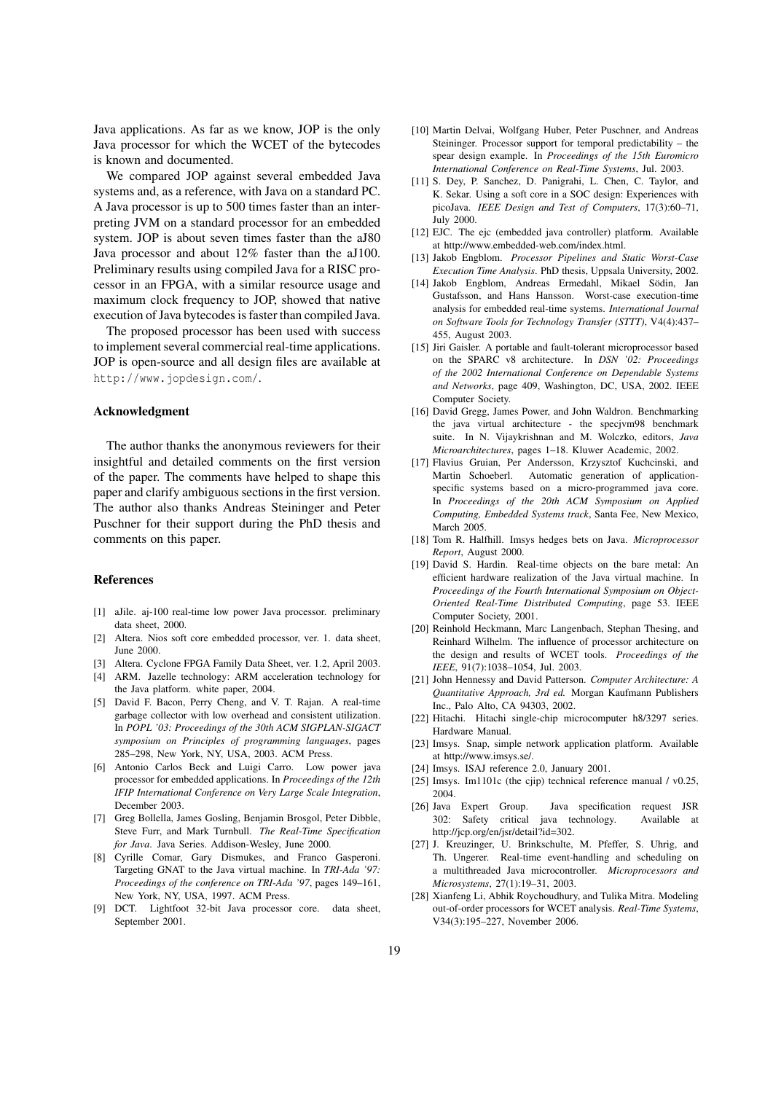Java applications. As far as we know, JOP is the only Java processor for which the WCET of the bytecodes is known and documented.

We compared JOP against several embedded Java systems and, as a reference, with Java on a standard PC. A Java processor is up to 500 times faster than an interpreting JVM on a standard processor for an embedded system. JOP is about seven times faster than the aJ80 Java processor and about 12% faster than the aJ100. Preliminary results using compiled Java for a RISC processor in an FPGA, with a similar resource usage and maximum clock frequency to JOP, showed that native execution of Java bytecodes is faster than compiled Java.

The proposed processor has been used with success to implement several commercial real-time applications. JOP is open-source and all design files are available at http://www.jopdesign.com/.

## Acknowledgment

The author thanks the anonymous reviewers for their insightful and detailed comments on the first version of the paper. The comments have helped to shape this paper and clarify ambiguous sections in the first version. The author also thanks Andreas Steininger and Peter Puschner for their support during the PhD thesis and comments on this paper.

## References

- [1] aJile. aj-100 real-time low power Java processor. preliminary data sheet, 2000.
- [2] Altera. Nios soft core embedded processor, ver. 1. data sheet, June 2000.
- [3] Altera. Cyclone FPGA Family Data Sheet, ver. 1.2, April 2003.
- [4] ARM. Jazelle technology: ARM acceleration technology for the Java platform. white paper, 2004.
- [5] David F. Bacon, Perry Cheng, and V. T. Rajan. A real-time garbage collector with low overhead and consistent utilization. In *POPL '03: Proceedings of the 30th ACM SIGPLAN-SIGACT symposium on Principles of programming languages*, pages 285–298, New York, NY, USA, 2003. ACM Press.
- [6] Antonio Carlos Beck and Luigi Carro. Low power java processor for embedded applications. In *Proceedings of the 12th IFIP International Conference on Very Large Scale Integration*, December 2003.
- [7] Greg Bollella, James Gosling, Benjamin Brosgol, Peter Dibble, Steve Furr, and Mark Turnbull. *The Real-Time Specification for Java*. Java Series. Addison-Wesley, June 2000.
- [8] Cyrille Comar, Gary Dismukes, and Franco Gasperoni. Targeting GNAT to the Java virtual machine. In *TRI-Ada '97: Proceedings of the conference on TRI-Ada '97*, pages 149–161, New York, NY, USA, 1997. ACM Press.
- [9] DCT. Lightfoot 32-bit Java processor core. data sheet, September 2001.
- [10] Martin Delvai, Wolfgang Huber, Peter Puschner, and Andreas Steininger. Processor support for temporal predictability – the spear design example. In *Proceedings of the 15th Euromicro International Conference on Real-Time Systems*, Jul. 2003.
- [11] S. Dey, P. Sanchez, D. Panigrahi, L. Chen, C. Taylor, and K. Sekar. Using a soft core in a SOC design: Experiences with picoJava. *IEEE Design and Test of Computers*, 17(3):60–71, July 2000.
- [12] EJC. The ejc (embedded java controller) platform. Available at http://www.embedded-web.com/index.html.
- [13] Jakob Engblom. *Processor Pipelines and Static Worst-Case Execution Time Analysis*. PhD thesis, Uppsala University, 2002.
- [14] Jakob Engblom, Andreas Ermedahl, Mikael Sodin, Jan ¨ Gustafsson, and Hans Hansson. Worst-case execution-time analysis for embedded real-time systems. *International Journal on Software Tools for Technology Transfer (STTT)*, V4(4):437– 455, August 2003.
- [15] Jiri Gaisler. A portable and fault-tolerant microprocessor based on the SPARC v8 architecture. In *DSN '02: Proceedings of the 2002 International Conference on Dependable Systems and Networks*, page 409, Washington, DC, USA, 2002. IEEE Computer Society.
- [16] David Gregg, James Power, and John Waldron. Benchmarking the java virtual architecture - the specjvm98 benchmark suite. In N. Vijaykrishnan and M. Wolczko, editors, *Java Microarchitectures*, pages 1–18. Kluwer Academic, 2002.
- [17] Flavius Gruian, Per Andersson, Krzysztof Kuchcinski, and Martin Schoeberl. Automatic generation of applicationspecific systems based on a micro-programmed java core. In *Proceedings of the 20th ACM Symposium on Applied Computing, Embedded Systems track*, Santa Fee, New Mexico, March 2005.
- [18] Tom R. Halfhill. Imsys hedges bets on Java. *Microprocessor Report*, August 2000.
- [19] David S. Hardin. Real-time objects on the bare metal: An efficient hardware realization of the Java virtual machine. In *Proceedings of the Fourth International Symposium on Object-Oriented Real-Time Distributed Computing*, page 53. IEEE Computer Society, 2001.
- [20] Reinhold Heckmann, Marc Langenbach, Stephan Thesing, and Reinhard Wilhelm. The influence of processor architecture on the design and results of WCET tools. *Proceedings of the IEEE*, 91(7):1038–1054, Jul. 2003.
- [21] John Hennessy and David Patterson. *Computer Architecture: A Quantitative Approach, 3rd ed.* Morgan Kaufmann Publishers Inc., Palo Alto, CA 94303, 2002.
- [22] Hitachi. Hitachi single-chip microcomputer h8/3297 series. Hardware Manual.
- [23] Imsys. Snap, simple network application platform. Available at http://www.imsys.se/.
- [24] Imsys. ISAJ reference 2.0, January 2001.
- [25] Imsys. Im1101c (the cjip) technical reference manual / v0.25, 2004.
- [26] Java Expert Group. Java specification request JSR 302: Safety critical java technology. Available at http://jcp.org/en/jsr/detail?id=302.
- [27] J. Kreuzinger, U. Brinkschulte, M. Pfeffer, S. Uhrig, and Th. Ungerer. Real-time event-handling and scheduling on a multithreaded Java microcontroller. *Microprocessors and Microsystems*, 27(1):19–31, 2003.
- [28] Xianfeng Li, Abhik Roychoudhury, and Tulika Mitra. Modeling out-of-order processors for WCET analysis. *Real-Time Systems*, V34(3):195–227, November 2006.